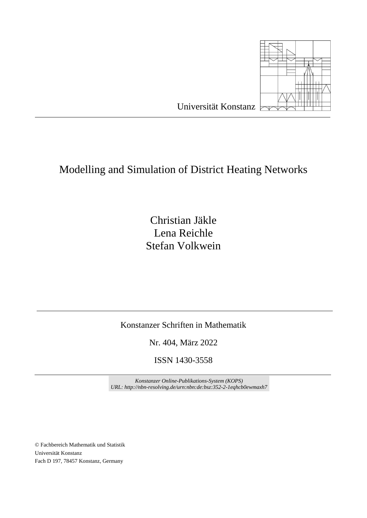

Christian Jäkle Lena Reichle Stefan Volkwein

Konstanzer Schriften in Mathematik

Nr. 404, März 2022

ISSN 1430-3558

*Konstanzer Online-Publikations-System (KOPS) URL: http://nbn-resolving.de/urn:nbn:de:bsz:352-2-1eqhcb0ewmaxh7*

© Fachbereich Mathematik und Statistik Universität Konstanz Fach D 197, 78457 Konstanz, Germany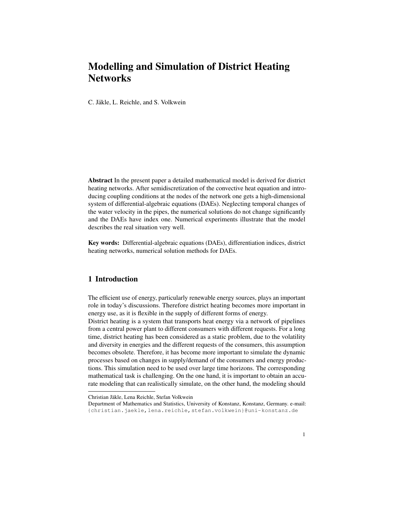C. Jäkle, L. Reichle, and S. Volkwein

Abstract In the present paper a detailed mathematical model is derived for district heating networks. After semidiscretization of the convective heat equation and introducing coupling conditions at the nodes of the network one gets a high-dimensional system of differential-algebraic equations (DAEs). Neglecting temporal changes of the water velocity in the pipes, the numerical solutions do not change significantly and the DAEs have index one. Numerical experiments illustrate that the model describes the real situation very well.

Key words: Differential-algebraic equations (DAEs), differentiation indices, district heating networks, numerical solution methods for DAEs.

## 1 Introduction

The efficient use of energy, particularly renewable energy sources, plays an important role in today's discussions. Therefore district heating becomes more important in energy use, as it is flexible in the supply of different forms of energy.

District heating is a system that transports heat energy via a network of pipelines from a central power plant to different consumers with different requests. For a long time, district heating has been considered as a static problem, due to the volatility and diversity in energies and the different requests of the consumers, this assumption becomes obsolete. Therefore, it has become more important to simulate the dynamic processes based on changes in supply/demand of the consumers and energy productions. This simulation need to be used over large time horizons. The corresponding mathematical task is challenging. On the one hand, it is important to obtain an accurate modeling that can realistically simulate, on the other hand, the modeling should

Christian Jakle, Lena Reichle, Stefan Volkwein ¨

Department of Mathematics and Statistics, University of Konstanz, Konstanz, Germany. e-mail: <{christian.jaekle,lena.reichle,stefan.volkwein}@uni-konstanz.de>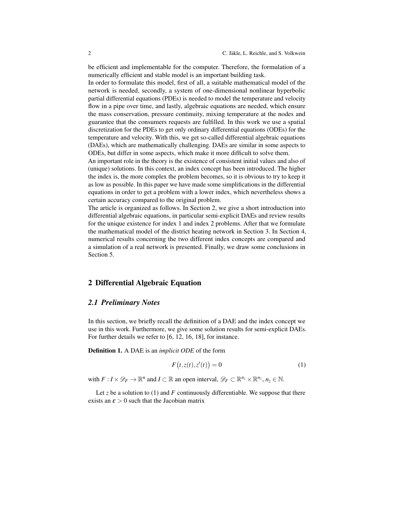be efficient and implementable for the computer. Therefore, the formulation of a numerically efficient and stable model is an important building task.

In order to formulate this model, first of all, a suitable mathematical model of the network is needed, secondly, a system of one-dimensional nonlinear hyperbolic partial differential equations (PDEs) is needed to model the temperature and velocity flow in a pipe over time, and lastly, algebraic equations are needed, which ensure the mass conservation, pressure continuity, mixing temperature at the nodes and guarantee that the consumers requests are fulfilled. In this work we use a spatial discretization for the PDEs to get only ordinary differential equations (ODEs) for the temperature and velocity. With this, we get so-called differential algebraic equations (DAEs), which are mathematically challenging. DAEs are similar in some aspects to ODEs, but differ in some aspects, which make it more difficult to solve them.

An important role in the theory is the existence of consistent initial values and also of (unique) solutions. In this context, an index concept has been introduced. The higher the index is, the more complex the problem becomes, so it is obvious to try to keep it as low as possible. In this paper we have made some simplifications in the differential equations in order to get a problem with a lower index, which nevertheless shows a certain accuracy compared to the original problem.

The article is organized as follows. In Section [2,](#page-3-0) we give a short introduction into differential algebraic equations, in particular semi-explicit DAEs and review results for the unique existence for index 1 and index 2 problems. After that we formulate the mathematical model of the district heating network in Section [3.](#page-10-0) In Section [4,](#page-17-0) numerical results concerning the two different index concepts are compared and a simulation of a real network is presented. Finally, we draw some conclusions in Section [5.](#page-28-0)

#### <span id="page-3-0"></span>2 Differential Algebraic Equation

#### <span id="page-3-2"></span>*2.1 Preliminary Notes*

In this section, we briefly recall the definition of a DAE and the index concept we use in this work. Furthermore, we give some solution results for semi-explicit DAEs. For further details we refer to [\[6,](#page-37-0) [12,](#page-37-1) [16,](#page-37-2) [18\]](#page-37-3), for instance.

Definition 1. A DAE is an *implicit ODE* of the form

<span id="page-3-1"></span>
$$
F(t, z(t), z'(t)) = 0
$$
\n<sup>(1)</sup>

with  $F: I \times \mathscr{D}_F \to \mathbb{R}^n$  and  $I \subset \mathbb{R}$  an open interval,  $\mathscr{D}_F \subset \mathbb{R}^{n_z} \times \mathbb{R}^{n_z}$ ,  $n_z \in \mathbb{N}$ .

Let *z* be a solution to [\(1\)](#page-3-1) and *F* continuously differentiable. We suppose that there exists an  $\epsilon > 0$  such that the Jacobian matrix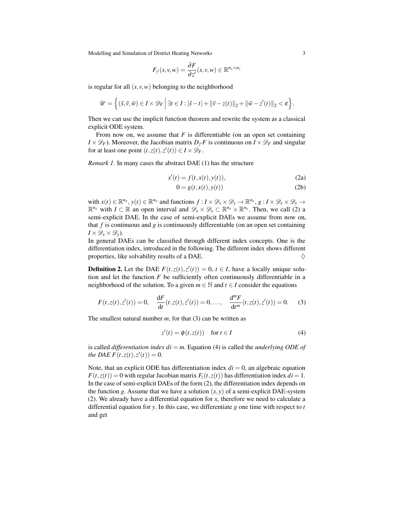$$
F_{z'}(s,v,w)=\frac{\partial F}{\partial z'}(s,v,w)\in\mathbb{R}^{n_z\times n_z}
$$

is regular for all  $(s, v, w)$  belonging to the neighborhood

$$
\mathscr{U} = \left\{ (\tilde{s}, \tilde{v}, \tilde{w}) \in I \times \mathscr{D}_F \, \middle| \, \exists t \in I : |\tilde{s} - t| + ||\tilde{v} - z(t)||_2 + ||\tilde{w} - z'(t)||_2 < \varepsilon \right\}.
$$

Then we can use the implicit function theorem and rewrite the system as a classical explicit ODE system.

From now on, we assume that  $F$  is differentiable (on an open set containing  $I \times \mathscr{D}_F$ ). Moreover, the Jacobian matrix  $D_z$  *F* is continuous on  $I \times \mathscr{D}_F$  and singular for at least one point  $(t, z(t), z'(t)) \in I \times \mathcal{D}_F$ .

*Remark 1.* In many cases the abstract DAE [\(1\)](#page-3-1) has the structure

$$
x'(t) = f(t, x(t), y(t)),
$$
\n(2a)

<span id="page-4-3"></span><span id="page-4-0"></span>
$$
0 = g(t, x(t), y(t))
$$
\n<sup>(2b)</sup>

with  $x(t) \in \mathbb{R}^{n_x}$ ,  $y(t) \in \mathbb{R}^{n_y}$  and functions  $f: I \times \mathcal{D}_x \times \mathcal{D}_y \to \mathbb{R}^{n_x}$ ,  $g: I \times \mathcal{D}_x \times \mathcal{D}_y \to$  $\mathbb{R}^{n_y}$  with  $I \subset \mathbb{R}$  an open interval and  $\mathscr{D}_x \times \mathscr{D}_y \subset \mathbb{R}^{n_x} \times \mathbb{R}^{n_y}$ . Then, we call [\(2\)](#page-4-0) a semi-explicit DAE. In the case of semi-explicit DAEs we assume from now on, that *f* is continuous and *g* is continuously differentiable (on an open set containing  $I \times \mathscr{D}_x \times \mathscr{D}_y$ .

In general DAEs can be classified through different index concepts. One is the differentiation index, introduced in the following. The different index shows different properties, like solvability results of a DAE.  $\diamondsuit$ 

**Definition 2.** Let the DAE  $F(t, z(t), z'(t)) = 0$ ,  $t \in I$ , have a locally unique solution and let the function  $F$  be sufficiently often continuously differentiable in a neighborhood of the solution. To a given  $m \in \mathbb{N}$  and  $t \in I$  consider the equations

$$
F(t, z(t), z'(t)) = 0, \quad \frac{dF}{dt}(t, z(t), z'(t)) = 0, \dots, \quad \frac{d^m F}{dt^m}(t, z(t), z'(t)) = 0.
$$
 (3)

The smallest natural number *m*, for that [\(3\)](#page-4-1) can be written as

<span id="page-4-2"></span><span id="page-4-1"></span>
$$
z'(t) = \phi(t, z(t)) \quad \text{for } t \in I \tag{4}
$$

is called *differentiation index di* = *m*. Equation [\(4\)](#page-4-2) is called the *underlying ODE of the DAE F*(*t*,*z*(*t*),*z*'(*t*)) = 0.

Note, that an explicit ODE has differentiation index  $di = 0$ , an algebraic equation  $F(t, z(t)) = 0$  with regular Jacobian matrix  $F_z(t, z(t))$  has differentiation index  $di = 1$ . In the case of semi-explicit DAEs of the form [\(2\)](#page-4-0), the differentiation index depends on the function *g*. Assume that we have a solution  $(x, y)$  of a semi-explicit DAE-system [\(2\)](#page-4-0). We already have a differential equation for *x*, therefore we need to calculate a differential equation for *y*. In this case, we differentiate *g* one time with respect to *t* and get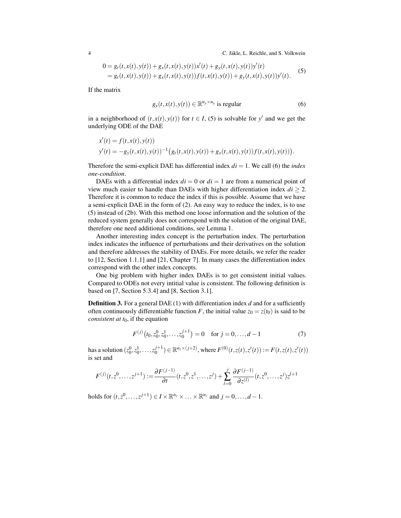4 C. Jäkle, L. Reichle, and S. Volkwein

<span id="page-5-0"></span>
$$
0 = g_t(t, x(t), y(t)) + g_x(t, x(t), y(t))x'(t) + g_y(t, x(t), y(t))y'(t)
$$
  
=  $g_t(t, x(t), y(t)) + g_x(t, x(t), y(t))f(t, x(t), y(t)) + g_y(t, x(t), y(t))y'(t).$  (5)

If the matrix

<span id="page-5-1"></span>
$$
g_{y}(t, x(t), y(t)) \in \mathbb{R}^{n_{y} \times n_{y}}
$$
 is regular (6)

in a neighborhood of  $(t, x(t), y(t))$  for  $t \in I$ , [\(5\)](#page-5-0) is solvable for y' and we get the underlying ODE of the DAE

$$
x'(t) = f(t, x(t), y(t))
$$
  

$$
y'(t) = -g_y(t, x(t), y(t))^{-1} (g_t(t, x(t), y(t)) + g_x(t, x(t), y(t)) f(t, x(t), y(t))).
$$

Therefore the semi-explicit DAE has differential index  $di = 1$ . We call [\(6\)](#page-5-1) the *index one-condition*.

DAEs with a differential index  $di = 0$  or  $di = 1$  are from a numerical point of view much easier to handle than DAEs with higher differentiation index  $di \geq 2$ . Therefore it is common to reduce the index if this is possible. Assume that we have a semi-explicit DAE in the form of [\(2\)](#page-4-0). An easy way to reduce the index, is to use [\(5\)](#page-5-0) instead of [\(2b\)](#page-4-3). With this method one loose information and the solution of the reduced system generally does not correspond with the solution of the original DAE, therefore one need additional conditions, see Lemma [1.](#page-7-0)

Another interesting index concept is the perturbation index. The perturbation index indicates the influence of perturbations and their derivatives on the solution and therefore addresses the stability of DAEs. For more details, we refer the reader to [\[12,](#page-37-1) Section 1.1.1] and [\[21,](#page-38-0) Chapter 7]. In many cases the differentiation index correspond with the other index concepts.

One big problem with higher index DAEs is to get consistent initial values. Compared to ODEs not every intitial value is consistent. The following definition is based on [\[7,](#page-37-4) Section 5.3.4] and [\[8,](#page-37-5) Section 3.1].

**Definition 3.** For a general DAE [\(1\)](#page-3-1) with differentiation index *d* and for a sufficiently often continuously differentiable function *F*, the initial value  $z_0 = z(t_0)$  is said to be *consistent at t*0, if the equation

<span id="page-5-3"></span><span id="page-5-2"></span>
$$
F^{(j)}(t_0, z_0^0, z_0^1, \dots, z_0^{j+1}) = 0 \quad \text{for } j = 0, \dots, d-1 \tag{7}
$$

has a solution  $(z_0^0, z_0^1, \ldots, z_0^{j+1}) \in \mathbb{R}^{n_z \times (j+2)}$ , where  $F^{(0)}(t, z(t), z'(t)) := F(t, z(t), z'(t))$ is set and

$$
F^{(j)}(t, z^0, \ldots, z^{j+1}) := \frac{\partial F^{(j-1)}}{\partial t}(t, z^0, z^1, \ldots, z^j) + \sum_{l=0}^j \frac{\partial F^{(j-1)}}{\partial z^{(l)}}(t, z^0, \ldots, z^j)z^{l+1}
$$

holds for  $(t, z^0, \ldots, z^{j+1}) \in I \times \mathbb{R}^{n_z} \times \ldots \times \mathbb{R}^{n_z}$  and  $j = 0, \ldots, d - 1$ .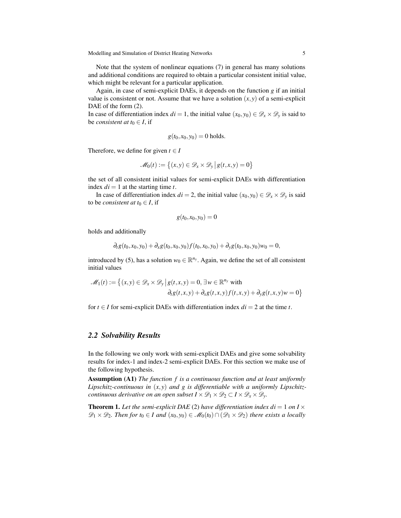Note that the system of nonlinear equations [\(7\)](#page-5-2) in general has many solutions and additional conditions are required to obtain a particular consistent initial value, which might be relevant for a particular application.

Again, in case of semi-explicit DAEs, it depends on the function *g* if an initial value is consistent or not. Assume that we have a solution  $(x, y)$  of a semi-explicit DAE of the form  $(2)$ .

In case of differentiation index  $di = 1$ , the initial value  $(x_0, y_0) \in \mathcal{D}_x \times \mathcal{D}_y$  is said to be *consistent at*  $t_0 \in I$ , if

$$
g(t_0,x_0,y_0)=0
$$
 holds.

Therefore, we define for given  $t \in I$ 

$$
\mathscr{M}_0(t) := \left\{ (x, y) \in \mathscr{D}_x \times \mathscr{D}_y \, \middle| \, g(t, x, y) = 0 \right\}
$$

the set of all consistent initial values for semi-explicit DAEs with differentiation index  $di = 1$  at the starting time  $t$ .

In case of differentiation index  $di = 2$ , the initial value  $(x_0, y_0) \in \mathcal{D}_x \times \mathcal{D}_y$  is said to be *consistent at*  $t_0 \in I$ , if

$$
g(t_0,x_0,y_0)=0
$$

holds and additionally

$$
\partial_t g(t_0,x_0,y_0) + \partial_x g(t_0,x_0,y_0) f(t_0,x_0,y_0) + \partial_y g(t_0,x_0,y_0) w_0 = 0,
$$

introduced by [\(5\)](#page-5-0), has a solution  $w_0 \in \mathbb{R}^{n_y}$ . Again, we define the set of all consistent initial values

$$
\mathcal{M}_1(t) := \left\{ (x, y) \in \mathcal{D}_x \times \mathcal{D}_y \, \middle| \, g(t, x, y) = 0, \exists w \in \mathbb{R}^{n_y} \text{ with} \right\}
$$
\n
$$
\partial_t g(t, x, y) + \partial_x g(t, x, y) f(t, x, y) + \partial_y g(t, x, y) w = 0 \right\}
$$

for  $t \in I$  for semi-explicit DAEs with differentiation index  $di = 2$  at the time *t*.

#### *2.2 Solvability Results*

In the following we only work with semi-explicit DAEs and give some solvability results for index-1 and index-2 semi-explicit DAEs. For this section we make use of the following hypothesis.

Assumption (A1) *The function f is a continuous function and at least uniformly Lipschitz-continuous in* (*x*, *y*) *and g is differentiable with a uniformly Lipschitzcontinuous derivative on an open subset*  $I \times \mathcal{D}_1 \times \mathcal{D}_2 \subset I \times \mathcal{D}_x \times \mathcal{D}_y$ *.* 

**Theorem 1.** Let the semi-explicit DAE [\(2\)](#page-4-0) have differentiation index  $di = 1$  on  $I \times$  $\mathscr{D}_1 \times \mathscr{D}_2$ . Then for  $t_0 \in I$  and  $(x_0, y_0) \in \mathscr{M}_0(t_0) \cap (\mathscr{D}_1 \times \mathscr{D}_2)$  there exists a locally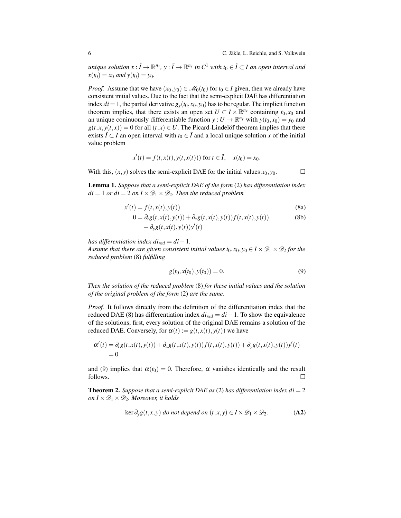*unique solution*  $x : \tilde{I} \to \mathbb{R}^{n_x}$ ,  $y : \tilde{I} \to \mathbb{R}^{n_y}$  *in*  $C^1$  *with*  $t_0 \in \tilde{I} \subset I$  *an open interval and*  $x(t_0) = x_0$  *and*  $y(t_0) = y_0$ .

*Proof.* Assume that we have  $(x_0, y_0) \in \mathcal{M}_0(t_0)$  for  $t_0 \in I$  given, then we already have consistent initial values. Due to the fact that the semi-explicit DAE has differentiation index  $di = 1$ , the partial derivative  $g_y(t_0, x_0, y_0)$  has to be regular. The implicit function theorem implies, that there exists an open set  $U \subset I \times \mathbb{R}^{n_x}$  containing  $t_0, x_0$  and an unique coninuously differentiable function  $y: U \to \mathbb{R}^{n_y}$  with  $y(t_0, x_0) = y_0$  and  $g(t, x, y(t, x)) = 0$  for all  $(t, x) \in U$ . The Picard-Lindelof theorem implies that there exists  $\tilde{I}$  ⊂ *I* an open interval with  $t_0 \in \tilde{I}$  and a local unique solution *x* of the initial value problem

$$
x'(t) = f(t, x(t), y(t, x(t)))
$$
 for  $t \in \tilde{I}$ ,  $x(t_0) = x_0$ .

With this,  $(x, y)$  solves the semi-explicit DAE for the initial values  $x_0, y_0$ .  $\Box$ 

<span id="page-7-0"></span>Lemma 1. *Suppose that a semi-explicit DAE of the form* [\(2\)](#page-4-0) *has differentiation index*  $di = 1$  *or di* = 2 *on*  $I \times \mathcal{D}_1 \times \mathcal{D}_2$ *. Then the reduced problem* 

$$
x'(t) = f(t, x(t), y(t))
$$
\n(8a)

$$
0 = \partial_t g(t, x(t), y(t)) + \partial_x g(t, x(t), y(t)) f(t, x(t), y(t))
$$
\n
$$
+ \partial_y g(t, x(t), y(t)) y'(t)
$$
\n(8b)

*has differentiation index di*<sub>*red</sub>* =  $di - 1$ .</sub>

*Assume that there are given consistent initial values*  $t_0, x_0, y_0 \in I \times \mathcal{D}_1 \times \mathcal{D}_2$  *for the reduced problem* [\(8\)](#page-7-1) *fulfilling*

<span id="page-7-2"></span><span id="page-7-1"></span>
$$
g(t_0, x(t_0), y(t_0)) = 0.
$$
\n(9)

*Then the solution of the reduced problem* [\(8\)](#page-7-1) *for these initial values and the solution of the original problem of the form* [\(2\)](#page-4-0) *are the same.*

*Proof.* It follows directly from the definition of the differentiation index that the reduced DAE [\(8\)](#page-7-1) has differentiation index  $di_{red} = di - 1$ . To show the equivalence of the solutions, first, every solution of the original DAE remains a solution of the reduced DAE. Conversely, for  $\alpha(t) := g(t, x(t), y(t))$  we have

$$
\alpha'(t) = \partial_t g(t, x(t), y(t)) + \partial_x g(t, x(t), y(t)) f(t, x(t), y(t)) + \partial_y g(t, x(t), y(t)) y'(t)
$$
  
= 0

and [\(9\)](#page-7-2) implies that  $\alpha(t_0) = 0$ . Therefore,  $\alpha$  vanishes identically and the result follows.  $\Box$ 

**Theorem 2.** *Suppose that a semi-explicit DAE as* [\(2\)](#page-4-0) *has differentiation index*  $di = 2$ *on*  $I \times \mathcal{D}_1 \times \mathcal{D}_2$ *. Moreover, it holds* 

$$
\ker \partial_y g(t, x, y) \text{ do not depend on } (t, x, y) \in I \times \mathcal{D}_1 \times \mathcal{D}_2. \tag{A2}
$$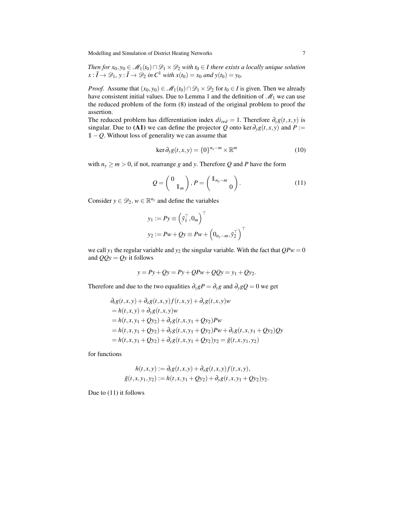*Then for*  $x_0, y_0 \in M_1(t_0) \cap \mathcal{D}_1 \times \mathcal{D}_2$  *with*  $t_0 \in I$  *there exists a locally unique solution*  $x: \tilde{I} \to \mathcal{D}_1$ ,  $y: \tilde{I} \to \mathcal{D}_2$  in  $C^1$  *with*  $x(t_0) = x_0$  *and*  $y(t_0) = y_0$ *.* 

*Proof.* Assume that  $(x_0, y_0) \in M_1(t_0) \cap \mathcal{D}_1 \times \mathcal{D}_2$  for  $t_0 \in I$  is given. Then we already have consistent initial values. Due to Lemma [1](#page-7-0) and the definition of  $\mathcal{M}_1$  we can use the reduced problem of the form [\(8\)](#page-7-1) instead of the original problem to proof the assertion.

The reduced problem has differentiation index  $di_{red} = 1$ . Therefore  $\partial_y g(t, x, y)$  is singular. Due to (A1) we can define the projector *Q* onto ker $\partial_y g(t, x, y)$  and *P* := 1−*Q*. Without loss of generality we can assume that

<span id="page-8-0"></span>
$$
\ker \partial_y g(t, x, y) = \{0\}^{n_y - m} \times \mathbb{R}^m
$$
 (10)

with  $n_y \ge m > 0$ , if not, rearrange *g* and *y*. Therefore *Q* and *P* have the form

$$
Q = \begin{pmatrix} 0 \\ 1_m \end{pmatrix}, P = \begin{pmatrix} 1_{n_y - m} \\ 0 \end{pmatrix}.
$$
 (11)

Consider  $y \in \mathcal{D}_2$ ,  $w \in \mathbb{R}^{n_y}$  and define the variables

$$
y_1 := Py \equiv \left(\tilde{y}_1^\top, 0_m\right)^\top
$$
  

$$
y_2 := Pw + Qy \equiv Pw + \left(0_{n_y - m}, \tilde{y}_2^\top\right)^\top
$$

we call  $y_1$  the regular variable and  $y_2$  the singular variable. With the fact that  $QPw = 0$ and  $QQy = Qy$  it follows

$$
y = Py + Qy = Py + QPw + QQy = y_1 + Qy_2.
$$

Therefore and due to the two equalities  $\partial_y g P = \partial_y g$  and  $\partial_y g Q = 0$  we get

$$
\partial_t g(t, x, y) + \partial_x g(t, x, y) f(t, x, y) + \partial_y g(t, x, y) w
$$
  
=  $h(t, x, y) + \partial_y g(t, x, y) w$   
=  $h(t, x, y_1 + Qy_2) + \partial_y g(t, x, y_1 + Qy_2) P w$   
=  $h(t, x, y_1 + Qy_2) + \partial_y g(t, x, y_1 + Qy_2) P w + \partial_y g(t, x, y_1 + Qy_2) Q y$   
=  $h(t, x, y_1 + Qy_2) + \partial_y g(t, x, y_1 + Qy_2) y_2 = \tilde{g}(t, x, y_1, y_2)$ 

for functions

$$
h(t, x, y) := \partial_t g(t, x, y) + \partial_x g(t, x, y) f(t, x, y),
$$
  

$$
\tilde{g}(t, x, y_1, y_2) := h(t, x, y_1 + Qy_2) + \partial_y g(t, x, y_1 + Qy_2) y_2.
$$

Due to [\(11\)](#page-8-0) it follows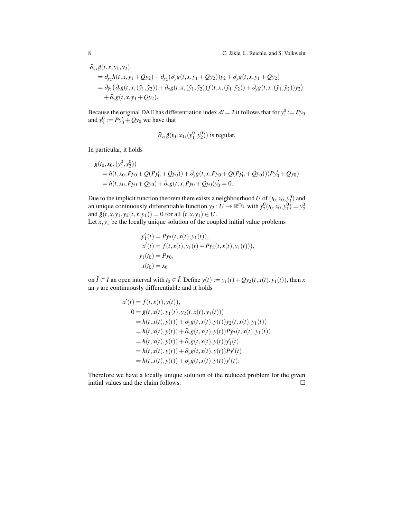$$
\partial_{y_2} \tilde{g}(t, x, y_1, y_2) \n= \partial_{y_2} h(t, x, y_1 + Qy_2) + \partial_{y_2} (\partial_y g(t, x, y_1 + Qy_2)) y_2 + \partial_y g(t, x, y_1 + Qy_2) \n= \partial_{\tilde{y}_2} (\partial_t g(t, x, (\tilde{y}_1, \tilde{y}_2)) + \partial_x g(t, x, (\tilde{y}_1, \tilde{y}_2)) f(t, x, (\tilde{y}_1, \tilde{y}_2)) + \partial_y g(t, x, (\tilde{y}_1, \tilde{y}_2)) y_2) \n+ \partial_y g(t, x, y_1 + Qy_2).
$$

Because the original DAE has differentiation index  $di = 2$  it follows that for  $y_1^0 := Py_0$ and  $y_2^0 := Py'_0 + Qy_0$  we have that

$$
\partial_{y_2}\tilde{g}(t_0,x_0,(y_1^0,y_2^0))
$$
 is regular.

In particular, it holds

$$
\tilde{g}(t_0, x_0, (y_1^0, y_2^0))
$$
\n=  $h(t, x_0, Py_0 + Q(Py'_0 + Qy_0)) + \partial_y g(t, x, Py_0 + Q(Py'_0 + Qy_0))(Py'_0 + Qy_0)$   
\n=  $h(t, x_0, Py_0 + Qy_0) + \partial_y g(t, x, Py_0 + Qy_0)y'_0 = 0.$ 

Due to the implicit function theorem there exists a neighbourhood *U* of  $(t_0, x_0, y_1^0)$  and an unique coninuously differentiable function  $y_2: U \to \mathbb{R}^{n_{y_2}}$  with  $y_2^0(t_0, x_0, y_1^0) = y_2^0$ and  $\tilde{g}(t, x, y_1, y_2(t, x, y_1)) = 0$  for all  $(t, x, y_1) \in U$ .

Let  $x, y_1$  be the locally unique solution of the coupled initial value problems

$$
y'_1(t) = Py_2(t, x(t), y_1(t)),
$$
  
\n
$$
x'(t) = f(t, x(t), y_1(t) + Py_2(t, x(t), y_1(t))),
$$
  
\n
$$
y_1(t_0) = Py_0,
$$
  
\n
$$
x(t_0) = x_0
$$

on  $\tilde{I}$  ⊂ *I* an open interval with  $t_0$  ∈  $\tilde{I}$ . Define  $y(t) := y_1(t) + Qy_2(t, x(t), y_1(t))$ , then *x* an *y* are continuously differentiable and it holds

$$
x'(t) = f(t, x(t), y(t)),
$$
  
\n
$$
0 = \tilde{g}(t, x(t), y_1(t), y_2(t, x(t), y_1(t)))
$$
  
\n
$$
= h(t, x(t), y(t)) + \partial_y g(t, x(t), y(t)) y_2(t, x(t), y_1(t))
$$
  
\n
$$
= h(t, x(t), y(t)) + \partial_y g(t, x(t), y(t)) Py_2(t, x(t), y_1(t))
$$
  
\n
$$
= h(t, x(t), y(t)) + \partial_y g(t, x(t), y(t)) y_1'(t)
$$
  
\n
$$
= h(t, x(t), y(t)) + \partial_y g(t, x(t), y(t)) Py'(t)
$$
  
\n
$$
= h(t, x(t), y(t)) + \partial_y g(t, x(t), y(t)) y'(t).
$$

Therefore we have a locally unique solution of the reduced problem for the given initial values and the claim follows. □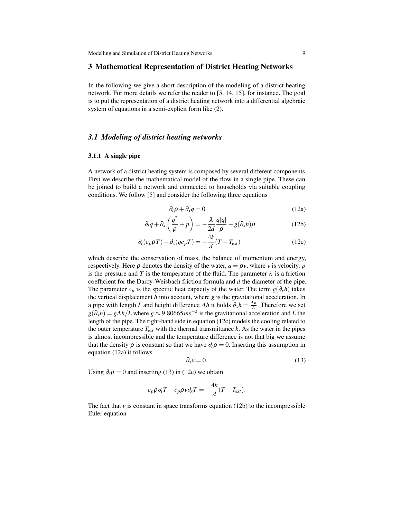#### <span id="page-10-0"></span>3 Mathematical Representation of District Heating Networks

In the following we give a short description of the modeling of a district heating network. For more details we refer the reader to [\[5,](#page-37-6) [14,](#page-37-7) [15\]](#page-37-8), for instance. The goal is to put the representation of a district heating network into a differential algebraic system of equations in a semi-explicit form like [\(2\)](#page-4-0).

#### *3.1 Modeling of district heating networks*

#### 3.1.1 A single pipe

A network of a district heating system is composed by several different components. First we describe the mathematical model of the flow in a single pipe. These can be joined to build a network and connected to households via suitable coupling conditions. We follow [\[5\]](#page-37-6) and consider the following three equations

<span id="page-10-4"></span><span id="page-10-2"></span><span id="page-10-1"></span>
$$
\partial_t \rho + \partial_x q = 0 \tag{12a}
$$

$$
\partial_t q + \partial_x \left( \frac{q^2}{\rho} + p \right) = -\frac{\lambda}{2d} \frac{q|q|}{\rho} - g(\partial_x h) \rho \tag{12b}
$$

$$
\partial_t (c_p \rho T) + \partial_x (qc_p T) = -\frac{4k}{d} (T - T_{ext})
$$
\n(12c)

which describe the conservation of mass, the balance of momentum and energy, respectively. Here  $\rho$  denotes the density of the water,  $q = \rho v$ , where *v* is velocity, *p* is the pressure and *T* is the temperature of the fluid. The parameter  $\lambda$  is a friction coefficient for the Darcy-Weisbach friction formula and *d* the diameter of the pipe. The parameter  $c_p$  is the specific heat capacity of the water. The term  $g(\partial_x h)$  takes the vertical displacement *h* into account, where *g* is the gravitational acceleration. In a pipe with length *L* and height difference  $\Delta h$  it holds  $\partial_x h = \frac{\Delta h}{L}$ . Therefore we set  $g(\partial_x h) = g\Delta h/L$  where  $g \approx 9.80665 \text{ m s}^{-2}$  is the gravitational acceleration and *L* the length of the pipe. The right-hand side in equation [\(12c\)](#page-10-1) models the cooling related to the outer temperature  $T_{ext}$  with the thermal transmittance  $k$ . As the water in the pipes is almost incompressible and the temperature difference is not that big we assume that the density  $\rho$  is constant so that we have  $\partial_t \rho = 0$ . Inserting this assumption in equation [\(12a\)](#page-10-2) it follows

<span id="page-10-3"></span>
$$
\partial_x v = 0. \tag{13}
$$

Using  $\partial_t \rho = 0$  and inserting [\(13\)](#page-10-3) in [\(12c\)](#page-10-1) we obtain

$$
c_p \rho \partial_t T + c_p \rho v \partial_x T = -\frac{4k}{d} (T - T_{ext}).
$$

The fact that  $\nu$  is constant in space transforms equation [\(12b\)](#page-10-4) to the incompressible Euler equation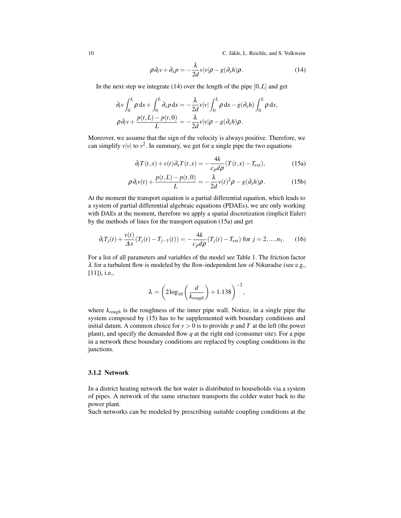10 C. Jäkle, L. Reichle, and S. Volkwein

<span id="page-11-0"></span>
$$
\rho \partial_t v + \partial_x p = -\frac{\lambda}{2d} v |v| \rho - g(\partial_x h) \rho.
$$
 (14)

In the next step we integrate  $(14)$  over the length of the pipe  $[0, L]$  and get

$$
\partial_t v \int_0^L \rho \, dx + \int_0^L \partial_x p \, dx = -\frac{\lambda}{2d} v|v| \int_0^L \rho \, dx - g(\partial_x h) \int_0^L \rho \, dx,
$$
  

$$
\rho \partial_t v + \frac{p(t, L) - p(t, 0)}{L} = -\frac{\lambda}{2d} v|v| \rho - g(\partial_x h) \rho.
$$

Moreover, we assume that the sign of the velocity is always positive. Therefore, we can simplify  $v|v|$  to  $v^2$ . In summary, we get for a single pipe the two equations

<span id="page-11-3"></span><span id="page-11-2"></span><span id="page-11-1"></span>
$$
\partial_t T(t,x) + v(t)\partial_x T(t,x) = -\frac{4k}{c_p d\rho} (T(t,x) - T_{ext}), \qquad (15a)
$$

$$
\rho \partial_t v(t) + \frac{p(t, L) - p(t, 0)}{L} = -\frac{\lambda}{2d} v(t)^2 \rho - g(\partial_x h) \rho.
$$
 (15b)

At the moment the transport equation is a partial differential equation, which leads to a system of partial differential algebraic equations (PDAEs), we are only working with DAEs at the moment, therefore we apply a spatial discretization (implicit Euler) by the methods of lines for the transport equation [\(15a\)](#page-11-1) and get

$$
\partial_t T_j(t) + \frac{v(t)}{\Delta x} (T_j(t) - T_{j-1}(t)) = -\frac{4k}{c_p d\rho} (T_j(t) - T_{ext}) \text{ for } j = 2, ..., n_1. \tag{16}
$$

For a list of all parameters and variables of the model see Table [1.](#page-12-0) The friction factor  $\lambda$  for a turbulent flow is modeled by the flow-independent law of Nikuradse (see e.g., [\[11\]](#page-37-9)), *i.e.*,

<span id="page-11-4"></span>
$$
\lambda = \left(2\log_{10}\left(\frac{d}{k_{rough}}\right) + 1.138\right)^{-2},
$$

where *krough* is the roughness of the inner pipe wall. Notice, in a single pipe the system composed by [\(15\)](#page-11-2) has to be supplemented with boundary conditions and initial datum. A common choice for  $v > 0$  is to provide p and T at the left (the power plant), and specify the demanded flow *q* at the right end (consumer site). For a pipe in a network these boundary conditions are replaced by coupling conditions in the junctions.

#### 3.1.2 Network

In a district heating network the hot water is distributed to households via a system of pipes. A network of the same structure transports the colder water back to the power plant.

Such networks can be modeled by prescribing suitable coupling conditions at the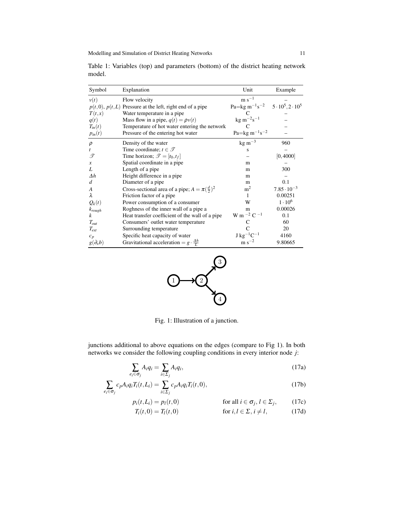| Symbol            | Explanation                                                | Unit                                                                            | Example              |
|-------------------|------------------------------------------------------------|---------------------------------------------------------------------------------|----------------------|
| v(t)              | Flow velocity                                              | $\rm m~s^{-1}$                                                                  |                      |
|                   | $p(t,0), p(t,L)$ Pressure at the left, right end of a pipe | Pa=kg m <sup>-1</sup> s <sup>-2</sup> 5 · 10 <sup>5</sup> , 2 · 10 <sup>5</sup> |                      |
| T(t,x)            | Water temperature in a pipe                                |                                                                                 |                      |
| q(t)              | Mass flow in a pipe, $q(t) = \rho v(t)$                    | $kg \, m^{-2} s^{-1}$                                                           |                      |
| $T_{in}(t)$       | Temperature of hot water entering the network              | $\mathcal{C}$                                                                   |                      |
| $p_{in}(t)$       | Pressure of the entering hot water                         | Pa= $\text{kg m}^{-1} \text{s}^{-2}$                                            |                      |
| $\rho$            | Density of the water                                       | $kg \, \text{m}^{-3}$                                                           | 960                  |
| t                 | Time coordinate; $t \in \mathcal{T}$                       | s                                                                               |                      |
| T                 | Time horizon; $\mathcal{T} = [t_0, t_f]$                   |                                                                                 | [0, 4000]            |
| $\boldsymbol{x}$  | Spatial coordinate in a pipe.                              | m                                                                               |                      |
| L                 | Length of a pipe                                           | m                                                                               | 300                  |
| $\Delta h$        | Height difference in a pipe                                | m                                                                               |                      |
| d                 | Diameter of a pipe                                         | m                                                                               | 0.1                  |
| A                 | Cross-sectional area of a pipe; $A = \pi(\frac{d}{2})^2$   | m <sup>2</sup>                                                                  | $7.85 \cdot 10^{-3}$ |
| λ                 | Friction factor of a pipe.                                 | 1                                                                               | 0.00251              |
| $Q_k(t)$          | Power consumption of a consumer                            | W                                                                               | $1 \cdot 10^6$       |
| $k_{rough}$       | Roghness of the inner wall of a pipe a                     | m                                                                               | 0.00026              |
| k                 | Heat transfer coefficient of the wall of a pipe            | W m $^{-2}$ C $^{-1}$                                                           | 0.1                  |
| $T_{out}$         | Consumers' outlet water temperature                        |                                                                                 | 60                   |
| $T_{ext}$         | Surrounding temperature                                    |                                                                                 | 20                   |
| $c_p$             | Specific heat capacity of water                            | $\rm J~kg^{-1}C^{-1}$                                                           | 4160                 |
| $g(\partial_x b)$ | Gravitational acceleration = $g \cdot \frac{\Delta h}{l}$  | $\rm m~s^{-2}$                                                                  | 9.80665              |

<span id="page-12-0"></span>Table 1: Variables (top) and parameters (bottom) of the district heating network model.

<span id="page-12-1"></span>

<span id="page-12-6"></span><span id="page-12-4"></span><span id="page-12-3"></span><span id="page-12-2"></span>Fig. 1: Illustration of a junction.

junctions additional to above equations on the edges (compare to Fig [1\)](#page-12-1). In both networks we consider the following coupling conditions in every interior node *j*:

$$
\sum_{e_i \in \sigma_j} A_i q_i = \sum_{i \in \Sigma_j} A_i q_i,\tag{17a}
$$

$$
\sum_{e_i \in \sigma_j} c_p A_i q_i T_i(t, L_i) = \sum_{i \in \Sigma_j} c_p A_i q_i T_i(t, 0), \qquad (17b)
$$

$$
p_i(t, L_i) = p_l(t, 0) \qquad \text{for all } i \in \sigma_j, l \in \Sigma_j, \qquad (17c)
$$

<span id="page-12-5"></span>
$$
T_i(t,0) = T_l(t,0) \qquad \text{for } i,l \in \Sigma, i \neq l,
$$
 (17d)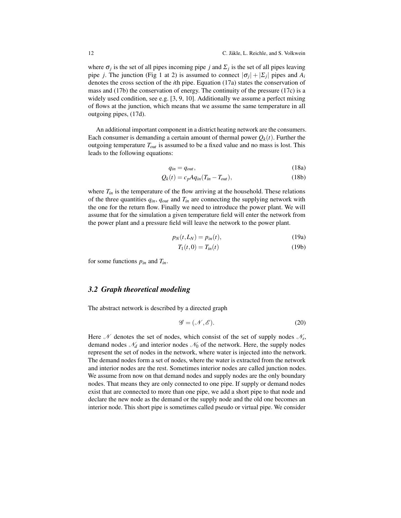where  $\sigma_j$  is the set of all pipes incoming pipe *j* and  $\Sigma_j$  is the set of all pipes leaving pipe *j*. The junction (Fig [1](#page-12-1) at 2) is assumed to connect  $|\sigma_j| + |\Sigma_j|$  pipes and  $A_i$ denotes the cross section of the *i*th pipe. Equation [\(17a\)](#page-12-2) states the conservation of mass and [\(17b\)](#page-12-3) the conservation of energy. The continuity of the pressure [\(17c\)](#page-12-4) is a widely used condition, see e.g. [\[3,](#page-37-10) [9,](#page-37-11) [10\]](#page-37-12). Additionally we assume a perfect mixing of flows at the junction, which means that we assume the same temperature in all outgoing pipes, [\(17d\)](#page-12-5).

An additional important component in a district heating network are the consumers. Each consumer is demanding a certain amount of thermal power  $Q_k(t)$ . Further the outgoing temperature *Tout* is assumed to be a fixed value and no mass is lost. This leads to the following equations:

<span id="page-13-2"></span><span id="page-13-0"></span>
$$
q_{in} = q_{out}, \t\t(18a)
$$

$$
Q_k(t) = c_p A q_{in} (T_{in} - T_{out}), \qquad (18b)
$$

where  $T_{in}$  is the temperature of the flow arriving at the household. These relations of the three quantities *qin*, *qout* and *Tin* are connecting the supplying network with the one for the return flow. Finally we need to introduce the power plant. We will assume that for the simulation a given temperature field will enter the network from the power plant and a pressure field will leave the network to the power plant.

$$
p_N(t, L_N) = p_{in}(t),
$$
\n(19a)

<span id="page-13-1"></span>
$$
T_1(t,0) = T_{in}(t) \tag{19b}
$$

for some functions *pin* and *Tin*.

#### *3.2 Graph theoretical modeling*

The abstract network is described by a directed graph

$$
\mathscr{G} = (\mathscr{N}, \mathscr{E}).\tag{20}
$$

Here  $\mathcal N$  denotes the set of nodes, which consist of the set of supply nodes  $\mathcal N_s$ , demand nodes  $\mathcal{N}_d$  and interior nodes  $\mathcal{N}_0$  of the network. Here, the supply nodes represent the set of nodes in the network, where water is injected into the network. The demand nodes form a set of nodes, where the water is extracted from the network and interior nodes are the rest. Sometimes interior nodes are called junction nodes. We assume from now on that demand nodes and supply nodes are the only boundary nodes. That means they are only connected to one pipe. If supply or demand nodes exist that are connected to more than one pipe, we add a short pipe to that node and declare the new node as the demand or the supply node and the old one becomes an interior node. This short pipe is sometimes called pseudo or virtual pipe. We consider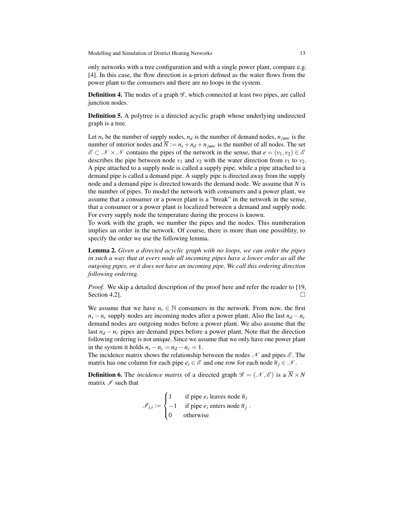only networks with a tree configuration and with a single power plant, compare e.g. [\[4\]](#page-37-13). In this case, the flow direction is a-priori defined as the water flows from the power plant to the consumers and there are no loops in the system.

**Definition 4.** The nodes of a graph  $\mathscr{G}$ , which connected at least two pipes, are called junction nodes.

Definition 5. A polytree is a directed acyclic graph whose underlying undirected graph is a tree.

Let  $n_s$  be the number of supply nodes,  $n_d$  is the number of demand nodes,  $n_{junc}$  is the number of interior nodes and  $\overline{N} := n_s + n_d + n_{iunc}$  is the number of all nodes. The set  $\mathscr{E} \subset \mathscr{N} \times \mathscr{N}$  contains the pipes of the network in the sense, that  $e = (v_1, v_2) \in \mathscr{E}$ describes the pipe between node  $v_1$  and  $v_2$  with the water direction from  $v_1$  to  $v_2$ . A pipe attached to a supply node is called a supply pipe, while a pipe attached to a demand pipe is called a demand pipe. A supply pipe is directed away from the supply node and a demand pipe is directed towards the demand node. We assume that *N* is the number of pipes. To model the network with consumers and a power plant, we assume that a consumer or a power plant is a "break" in the network in the sense, that a consumer or a power plant is localized between a demand and supply node. For every supply node the temperature during the process is known.

To work with the graph, we number the pipes and the nodes. This numberation implies an order in the network. Of course, there is more than one possiblity, to specify the order we use the following lemma.

Lemma 2. *Given a directed acyclic graph with no loops, we can order the pipes in such a way that at every node all incoming pipes have a lower order as all the outgoing pipes, or it does not have an incoming pipe. We call this ordering direction following ordering.*

*Proof.* We skip a detailed description of the proof here and refer the reader to [\[19,](#page-38-1) Section 4.2].  $\Box$ 

We assume that we have  $n_c \in \mathbb{N}$  consumers in the network. From now, the first  $n_s - n_c$  supply nodes are incoming nodes after a power plant. Also the last  $n_d - n_c$ demand nodes are outgoing nodes before a power plant. We also assume that the last  $n_d - n_c$  pipes are demand pipes before a power plant. Note that the direction following ordering is not unique. Since we assume that we only have one power plant in the system it holds  $n_s - n_c = n_d - n_c = 1$ .

The incidence matrix shows the relationship between the nodes  $\mathcal N$  and pipes  $\mathcal E$ . The matrix has one column for each pipe  $e_i \in \mathscr{E}$  and one row for each node  $\overline{n}_i \in \mathscr{N}$ .

**Definition 6.** The *incidence matrix* of a directed graph  $\mathcal{G} = (\mathcal{N}, \mathcal{E})$  is a  $\overline{N} \times N$ matrix  $\mathscr I$  such that

$$
\mathcal{I}_{j,i} := \begin{cases} 1 & \text{if pipe } e_i \text{ leaves node } \overline{n}_j \\ -1 & \text{if pipe } e_i \text{ enters node } \overline{n}_j \\ 0 & \text{otherwise} \end{cases}
$$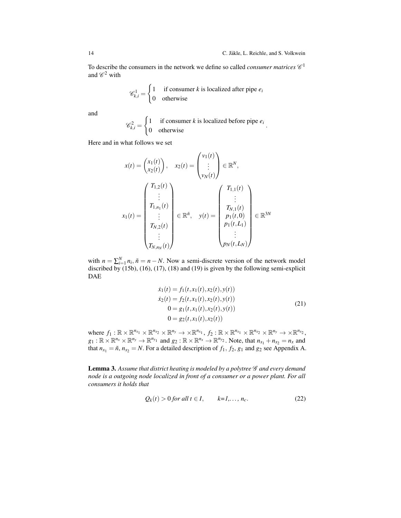To describe the consumers in the network we define so called *consumer matrices*  $\mathscr{C}^1$ and  $\mathscr{C}^2$  with

$$
\mathscr{C}_{k,i}^1 = \begin{cases} 1 & \text{if consumer } k \text{ is localized after pipe } e_i \\ 0 & \text{otherwise} \end{cases}
$$

and

$$
\mathscr{C}_{k,i}^2 = \begin{cases} 1 & \text{if consumer } k \text{ is localized before pipe } e_i \\ 0 & \text{otherwise} \end{cases}.
$$

Here and in what follows we set

$$
x(t) = \begin{pmatrix} x_1(t) \\ x_2(t) \end{pmatrix}, \quad x_2(t) = \begin{pmatrix} v_1(t) \\ \vdots \\ v_N(t) \end{pmatrix} \in \mathbb{R}^N,
$$

$$
x_1(t) = \begin{pmatrix} T_{1,2}(t) \\ \vdots \\ T_{1,n_1}(t) \\ \vdots \\ T_{N,2}(t) \\ \vdots \\ T_{N,n_N}(t) \end{pmatrix} \in \mathbb{R}^{\tilde{n}}, \quad y(t) = \begin{pmatrix} T_{1,1}(t) \\ \vdots \\ T_{N,1}(t) \\ p_1(t,0) \\ \vdots \\ p_N(t,L_N) \end{pmatrix} \in \mathbb{R}^{3N}
$$

with  $n = \sum_{i=1}^{N} n_i$ ,  $\tilde{n} = n - N$ . Now a semi-discrete version of the network model discribed by [\(15b\)](#page-11-3), [\(16\)](#page-11-4), [\(17\)](#page-12-6), [\(18\)](#page-13-0) and [\(19\)](#page-13-1) is given by the following semi-explicit DAE

<span id="page-15-0"></span>
$$
\begin{aligned}\n\dot{x}_1(t) &= f_1(t, x_1(t), x_2(t), y(t)) \\
\dot{x}_2(t) &= f_2(t, x_1(t), x_2(t), y(t)) \\
0 &= g_1(t, x_1(t), x_2(t), y(t)) \\
0 &= g_2(t, x_1(t), x_2(t))\n\end{aligned} \tag{21}
$$

where  $f_1: \mathbb{R} \times \mathbb{R}^{n_{x_1}} \times \mathbb{R}^{n_{x_2}} \times \mathbb{R}^{n_y} \to \times \mathbb{R}^{n_{x_1}}, f_2: \mathbb{R} \times \mathbb{R}^{n_{x_1}} \times \mathbb{R}^{n_{x_2}} \times \mathbb{R}^{n_y} \to \times \mathbb{R}^{n_{x_2}},$  $g_1: \mathbb{R} \times \mathbb{R}^{n_x} \times \mathbb{R}^{n_y} \to \mathbb{R}^{n_{y_1}}$  and  $g_2: \mathbb{R} \times \mathbb{R}^{n_x} \to \mathbb{R}^{n_{y_2}}$ . Note, that  $n_{x_1} + n_{x_2} = n_x$  and that  $n_{x_1} = \tilde{n}$ ,  $n_{x_2} = N$ . For a detailed description of  $f_1$ ,  $f_2$ ,  $g_1$  and  $g_2$  see Appendix A.

<span id="page-15-2"></span>Lemma 3. *Assume that district heating is modeled by a polytree* G *and every demand node is a outgoing node localized in front of a consumer or a power plant. For all consumers it holds that*

<span id="page-15-1"></span>
$$
Q_k(t) > 0 \text{ for all } t \in I, \qquad k=1,\ldots,n_c. \tag{22}
$$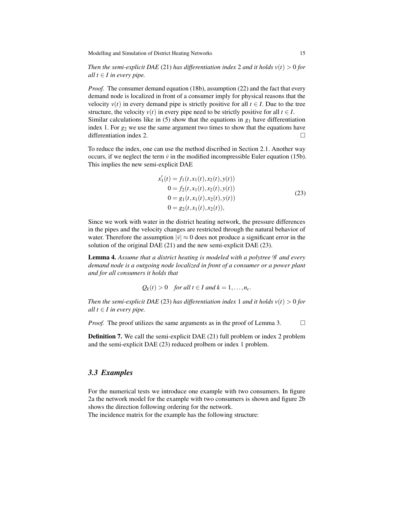*Then the semi-explicit DAE* [\(21\)](#page-15-0) *has differentiation index* 2 *and it holds*  $v(t) > 0$  *for all*  $t \in I$  *in every pipe.* 

*Proof.* The consumer demand equation [\(18b\)](#page-13-2), assumption [\(22\)](#page-15-1) and the fact that every demand node is localized in front of a consumer imply for physical reasons that the velocity  $v(t)$  in every demand pipe is strictly positive for all  $t \in I$ . Due to the tree structure, the velocity  $v(t)$  in every pipe need to be strictly positive for all  $t \in I$ . Similar calculations like in [\(5\)](#page-5-0) show that the equations in  $g_1$  have differentiation index 1. For *g*<sup>2</sup> we use the same argument two times to show that the equations have differentiation index 2.  $\Box$ 

To reduce the index, one can use the method discribed in Section [2.1.](#page-3-2) Another way occurs, if we neglect the term  $\dot{v}$  in the modified incompressible Euler equation [\(15b\)](#page-11-3). This implies the new semi-explicit DAE

<span id="page-16-0"></span> $\mathbf{z}$   $\mathbf{z}$ 

$$
x'_1(t) = f_1(t, x_1(t), x_2(t), y(t))
$$
  
\n
$$
0 = f_2(t, x_1(t), x_2(t), y(t))
$$
  
\n
$$
0 = g_1(t, x_1(t), x_2(t), y(t))
$$
  
\n
$$
0 = g_2(t, x_1(t), x_2(t)),
$$
\n(23)

Since we work with water in the district heating network, the pressure differences in the pipes and the velocity changes are restricted through the natural behavior of water. Therefore the assumption  $|\dot{v}| \approx 0$  does not produce a significant error in the solution of the original DAE [\(21\)](#page-15-0) and the new semi-explicit DAE [\(23\)](#page-16-0).

Lemma 4. Assume that a district heating is modeled with a polytree  $\mathscr G$  and every *demand node is a outgoing node localized in front of a consumer or a power plant and for all consumers it holds that*

$$
Q_k(t) > 0
$$
 for all  $t \in I$  and  $k = 1, ..., n_c$ .

*Then the semi-explicit DAE* [\(23\)](#page-16-0) *has differentiation index* 1 *and it holds*  $v(t) > 0$  *for all*  $t \in I$  *in every pipe.* 

*Proof.* The proof utilizes the same arguments as in the proof of Lemma [3.](#page-15-2)  $\Box$ 

Definition 7. We call the semi-explicit DAE [\(21\)](#page-15-0) full problem or index 2 problem and the semi-explicit DAE [\(23\)](#page-16-0) reduced prolbem or index 1 problem.

#### <span id="page-16-1"></span>*3.3 Examples*

For the numerical tests we introduce one example with two consumers. In figure [2a](#page-17-1) the network model for the example with two consumers is shown and figure [2b](#page-17-1) shows the direction following ordering for the network.

The incidence matrix for the example has the following structure: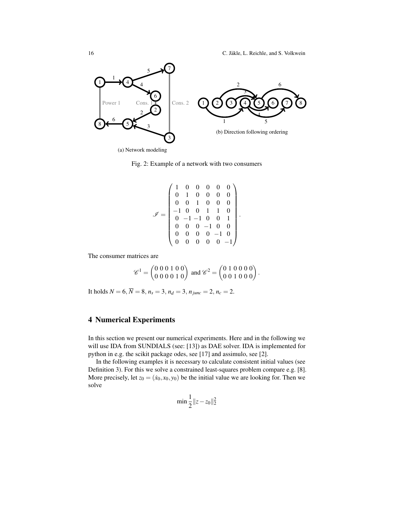<span id="page-17-1"></span>

(a) Network modeling

Fig. 2: Example of a network with two consumers

$$
\mathcal{I} = \begin{pmatrix}\n1 & 0 & 0 & 0 & 0 & 0 \\
0 & 1 & 0 & 0 & 0 & 0 \\
0 & 0 & 1 & 0 & 0 & 0 \\
-1 & 0 & 0 & 1 & 1 & 0 \\
0 & -1 & -1 & 0 & 0 & 1 \\
0 & 0 & 0 & -1 & 0 & 0 \\
0 & 0 & 0 & 0 & -1 & 0 \\
0 & 0 & 0 & 0 & 0 & -1\n\end{pmatrix}
$$

.

The consumer matrices are

$$
\mathscr{C}^1 = \begin{pmatrix} 0 & 0 & 0 & 1 & 0 & 0 \\ 0 & 0 & 0 & 0 & 1 & 0 \end{pmatrix} \text{ and } \mathscr{C}^2 = \begin{pmatrix} 0 & 1 & 0 & 0 & 0 & 0 \\ 0 & 0 & 1 & 0 & 0 & 0 \end{pmatrix}.
$$

It holds  $N = 6$ ,  $\overline{N} = 8$ ,  $n_s = 3$ ,  $n_d = 3$ ,  $n_{junc} = 2$ ,  $n_c = 2$ .

## <span id="page-17-0"></span>4 Numerical Experiments

In this section we present our numerical experiments. Here and in the following we will use IDA from SUNDIALS (see: [\[13\]](#page-37-14)) as DAE solver. IDA is implemented for python in e.g. the scikit package odes, see [\[17\]](#page-37-15) and assimulo, see [\[2\]](#page-37-16).

In the following examples it is necessary to calculate consistent initial values (see Definition [3\)](#page-5-3). For this we solve a constrained least-squares problem compare e.g. [\[8\]](#page-37-5). More precisely, let  $z_0 = (x_0, x_0, y_0)$  be the initial value we are looking for. Then we solve

$$
\min \frac{1}{2} \|z - z_0\|_2^2
$$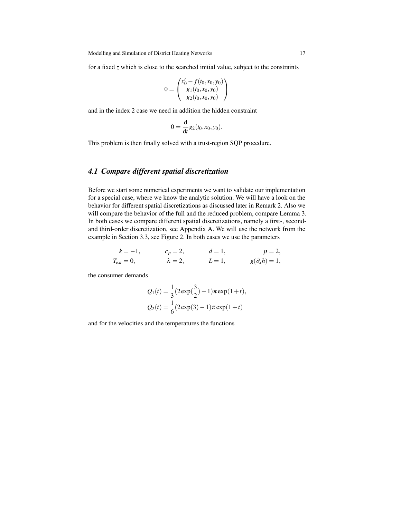for a fixed *z* which is close to the searched initial value, subject to the constraints

$$
0 = \begin{pmatrix} x'_0 - f(t_0, x_0, y_0) \\ g_1(t_0, x_0, y_0) \\ g_2(t_0, x_0, y_0) \end{pmatrix}
$$

and in the index 2 case we need in addition the hidden constraint

$$
0 = \frac{d}{dt} g_2(t_0, x_0, y_0).
$$

This problem is then finally solved with a trust-region SQP procedure.

## <span id="page-18-0"></span>*4.1 Compare different spatial discretization*

Before we start some numerical experiments we want to validate our implementation for a special case, where we know the analytic solution. We will have a look on the behavior for different spatial discretizations as discussed later in Remark [2.](#page-30-0) Also we will compare the behavior of the full and the reduced problem, compare Lemma [3.](#page-15-2) In both cases we compare different spatial discretizations, namely a first-, secondand third-order discretization, see Appendix A. We will use the network from the example in Section [3.3,](#page-16-1) see Figure [2.](#page-17-1) In both cases we use the parameters

$$
k = -1, \t cp = 2, \t d = 1, \t \rho = 2, \nText = 0, \t \lambda = 2, \t L = 1, \t g(\partial_x h) = 1,
$$

the consumer demands

$$
Q_1(t) = \frac{1}{3}(2 \exp(\frac{3}{2}) - 1)\pi \exp(1+t),
$$
  

$$
Q_2(t) = \frac{1}{6}(2 \exp(3) - 1)\pi \exp(1+t)
$$

and for the velocities and the temperatures the functions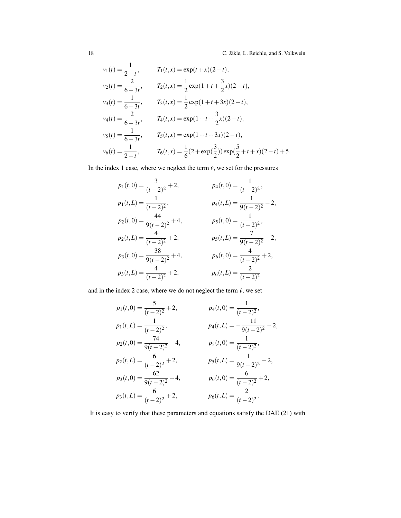$$
v_1(t) = \frac{1}{2-t}, \t T_1(t,x) = \exp(t+x)(2-t),
$$
  
\n
$$
v_2(t) = \frac{2}{6-3t}, \t T_2(t,x) = \frac{1}{2}\exp(1+t+\frac{3}{2}x)(2-t),
$$
  
\n
$$
v_3(t) = \frac{1}{6-3t}, \t T_3(t,x) = \frac{1}{2}\exp(1+t+3x)(2-t),
$$
  
\n
$$
v_4(t) = \frac{2}{6-3t}, \t T_4(t,x) = \exp(1+t+\frac{3}{2}x)(2-t),
$$
  
\n
$$
v_5(t) = \frac{1}{6-3t}, \t T_5(t,x) = \exp(1+t+3x)(2-t),
$$
  
\n
$$
v_6(t) = \frac{1}{2-t}, \t T_6(t,x) = \frac{1}{6}(2+\exp(\frac{3}{2}))\exp(\frac{5}{2}+t+x)(2-t)+5.
$$

In the index 1 case, where we neglect the term  $\dot{v}$ , we set for the pressures

$$
p_1(t,0) = \frac{3}{(t-2)^2} + 2,
$$
  
\n
$$
p_1(t,L) = \frac{1}{(t-2)^2},
$$
  
\n
$$
p_2(t,0) = \frac{44}{9(t-2)^2} + 4,
$$
  
\n
$$
p_2(t,L) = \frac{4}{(t-2)^2} + 2,
$$
  
\n
$$
p_3(t,0) = \frac{38}{9(t-2)^2} + 4,
$$
  
\n
$$
p_4(t,L) = \frac{1}{9(t-2)^2} - 2,
$$
  
\n
$$
p_5(t,0) = \frac{7}{(t-2)^2},
$$
  
\n
$$
p_6(t,0) = \frac{4}{(t-2)^2} + 2,
$$
  
\n
$$
p_7(t,L) = \frac{7}{9(t-2)^2} - 2,
$$
  
\n
$$
p_8(t,0) = \frac{4}{(t-2)^2} + 2,
$$
  
\n
$$
p_9(t,L) = \frac{2}{(t-2)^2}
$$

and in the index 2 case, where we do not neglect the term  $\dot{v}$ , we set

$$
p_1(t,0) = \frac{5}{(t-2)^2} + 2,
$$
  
\n
$$
p_1(t,L) = \frac{1}{(t-2)^2},
$$
  
\n
$$
p_2(t,0) = \frac{74}{9(t-2)^2} + 4,
$$
  
\n
$$
p_2(t,L) = \frac{6}{(t-2)^2} + 2,
$$
  
\n
$$
p_3(t,0) = \frac{62}{9(t-2)^2} + 4,
$$
  
\n
$$
p_4(t,L) = -\frac{11}{9(t-2)^2} - 2,
$$
  
\n
$$
p_5(t,0) = \frac{1}{(t-2)^2},
$$
  
\n
$$
p_6(t,L) = \frac{6}{9(t-2)^2} - 2,
$$
  
\n
$$
p_7(t,L) = \frac{1}{(t-2)^2} - 2,
$$
  
\n
$$
p_8(t,0) = \frac{6}{(t-2)^2} + 2,
$$
  
\n
$$
p_9(t,L) = \frac{6}{(t-2)^2} + 2,
$$
  
\n
$$
p_8(t,L) = \frac{2}{(t-2)^2}.
$$

It is easy to verify that these parameters and equations satisfy the DAE [\(21\)](#page-15-0) with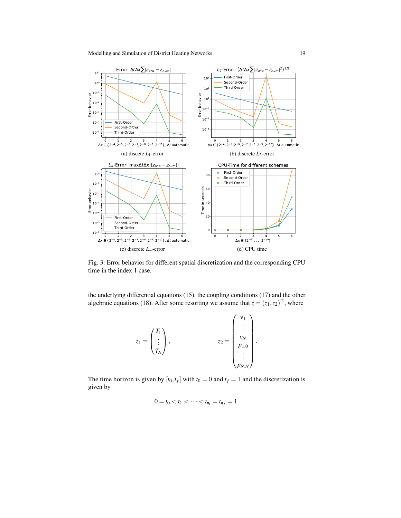<span id="page-20-0"></span>

Fig. 3: Error behavior for different spatial discretization and the corresponding CPU time in the index 1 case.

the underlying differential equations [\(15\)](#page-11-2), the coupling conditions [\(17\)](#page-12-6) and the other algebraic equations [\(18\)](#page-13-0). After some resorting we assume that  $z = (z_1, z_2)^{\top}$ , where

$$
z_1 = \begin{pmatrix} T_1 \\ \vdots \\ T_N \end{pmatrix}, \qquad z_2 = \begin{pmatrix} v_1 \\ \vdots \\ v_N \\ p_{1,0} \\ \vdots \\ p_{N,N} \end{pmatrix}.
$$

The time horizon is given by  $[t_0, t_f]$  with  $t_0 = 0$  and  $t_f = 1$  and the discretization is given by

$$
0 = t_0 < t_1 < \cdots < t_{n_t} = t_{n_f} = 1.
$$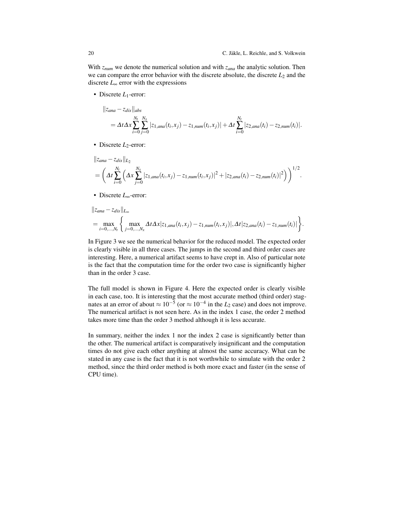With *znum* we denote the numerical solution and with *zana* the analytic solution. Then we can compare the error behavior with the discrete absolute, the discrete *L*<sup>2</sup> and the discrete *L*<sup>∞</sup> error with the expressions

• Discrete *L*<sub>1</sub>-error:

$$
||z_{ana} - z_{dis}||_{abs}
$$
  
=  $\Delta t \Delta x \sum_{i=0}^{N_t} \sum_{j=0}^{N_x} |z_{1,ana}(t_i, x_j) - z_{1,num}(t_i, x_j)| + \Delta t \sum_{i=0}^{N_t} |z_{2,ana}(t_i) - z_{2,num}(t_i)|.$ 

• Discrete *L*<sub>2</sub>-error:

$$
||z_{ana} - z_{dis}||_{L_2}
$$
  
=  $\left(\Delta t \sum_{i=0}^{N_t} \left( \Delta x \sum_{j=0}^{N_x} |z_{1,ana}(t_i, x_j) - z_{1,num}(t_i, x_j)|^2 + |z_{2,ana}(t_i) - z_{2,num}(t_i)|^2 \right) \right)^{1/2}.$ 

• Discrete *L*∞-error:

$$
||z_{ana} - z_{dis}||_{L_{\infty}}
$$
  
= 
$$
\max_{i=0,\dots,N_t} \left\{ \max_{j=0,\dots,N_x} \Delta t \Delta x | z_{1,ana}(t_i, x_j) - z_{1,num}(t_i, x_j) |, \Delta t | z_{2,ana}(t_i) - z_{1,num}(t_i) | \right\}.
$$

In Figure [3](#page-20-0) we see the numerical behavior for the reduced model. The expected order is clearly visible in all three cases. The jumps in the second and third order cases are interesting. Here, a numerical artifact seems to have crept in. Also of particular note is the fact that the computation time for the order two case is significantly higher than in the order 3 case.

The full model is shown in Figure [4.](#page-22-0) Here the expected order is clearly visible in each case, too. It is interesting that the most accurate method (third order) stagnates at an error of about  $\approx 10^{-5}$  (or  $\approx 10^{-4}$  in the *L*<sub>2</sub> case) and does not improve. The numerical artifact is not seen here. As in the index 1 case, the order 2 method takes more time than the order 3 method although it is less accurate.

In summary, neither the index 1 nor the index 2 case is significantly better than the other. The numerical artifact is comparatively insignificant and the computation times do not give each other anything at almost the same accuracy. What can be stated in any case is the fact that it is not worthwhile to simulate with the order 2 method, since the third order method is both more exact and faster (in the sense of CPU time).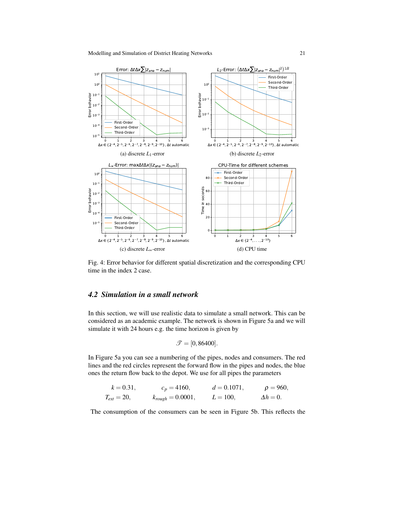<span id="page-22-0"></span>

Fig. 4: Error behavior for different spatial discretization and the corresponding CPU time in the index 2 case.

## *4.2 Simulation in a small network*

In this section, we will use realistic data to simulate a small network. This can be considered as an academic example. The network is shown in Figure [5a](#page-23-0) and we will simulate it with 24 hours e.g. the time horizon is given by

$$
\mathcal{T} = [0, 86400].
$$

In Figure [5a](#page-23-0) you can see a numbering of the pipes, nodes and consumers. The red lines and the red circles represent the forward flow in the pipes and nodes, the blue ones the return flow back to the depot. We use for all pipes the parameters

$$
k = 0.31,
$$
  $c_p = 4160,$   $d = 0.1071,$   $\rho = 960,$   
\n $T_{ext} = 20,$   $k_{rough} = 0.0001,$   $L = 100,$   $\Delta h = 0.$ 

The consumption of the consumers can be seen in Figure [5b.](#page-23-0) This reflects the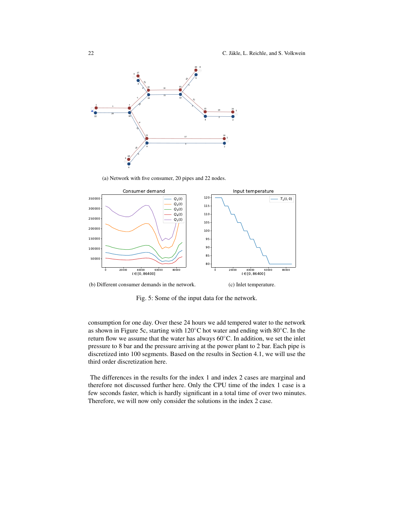<span id="page-23-0"></span>

(a) Network with five consumer, 20 pipes and 22 nodes.



(b) Different consumer demands in the network.

Fig. 5: Some of the input data for the network.

consumption for one day. Over these 24 hours we add tempered water to the network as shown in Figure [5c,](#page-23-0) starting with 120◦C hot water and ending with 80◦C. In the return flow we assume that the water has always 60◦C. In addition, we set the inlet pressure to 8 bar and the pressure arriving at the power plant to 2 bar. Each pipe is discretized into 100 segments. Based on the results in Section [4.1,](#page-18-0) we will use the third order discretization here.

The differences in the results for the index 1 and index 2 cases are marginal and therefore not discussed further here. Only the CPU time of the index 1 case is a few seconds faster, which is hardly significant in a total time of over two minutes. Therefore, we will now only consider the solutions in the index 2 case.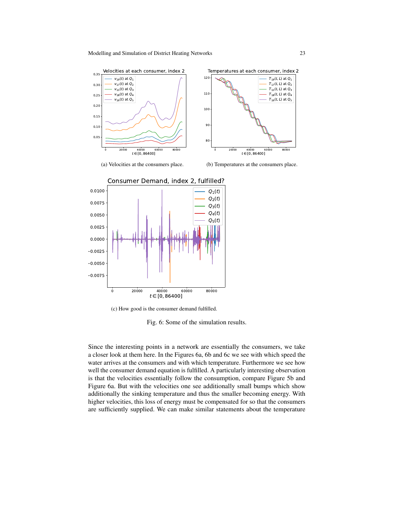<span id="page-24-0"></span>



(c) How good is the consumer demand fulfilled.

Fig. 6: Some of the simulation results.

Since the interesting points in a network are essentially the consumers, we take a closer look at them here. In the Figures [6a, 6b](#page-24-0) and [6c](#page-24-0) we see with which speed the water arrives at the consumers and with which temperature. Furthermore we see how well the consumer demand equation is fulfilled. A particularly interesting observation is that the velocities essentially follow the consumption, compare Figure [5b](#page-23-0) and Figure [6a.](#page-24-0) But with the velocities one see additionally small bumps which show additionally the sinking temperature and thus the smaller becoming energy. With higher velocities, this loss of energy must be compensated for so that the consumers are sufficiently supplied. We can make similar statements about the temperature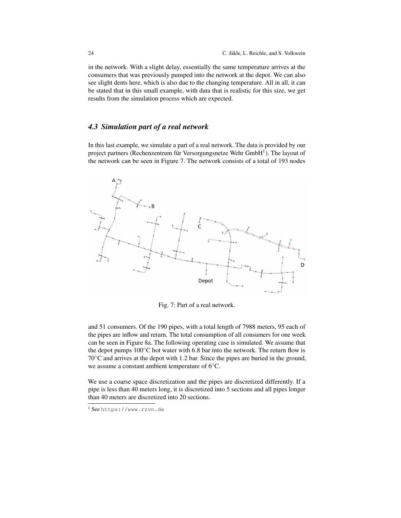in the network. With a slight delay, essentially the same temperature arrives at the consumers that was previously pumped into the network at the depot. We can also see slight dents here, which is also due to the changing temperature. All in all, it can be stated that in this small example, with data that is realistic for this size, we get results from the simulation process which are expected.

## *4.3 Simulation part of a real network*

In this last example, we simulate a part of a real network. The data is provided by our project partners (Rechenzentrum für Versorgungsnetze Wehr  $GmbH^1$  $GmbH^1$ ). The layout of the network can be seen in Figure [7.](#page-25-1) The network consists of a total of 193 nodes

<span id="page-25-1"></span>

Fig. 7: Part of a real network.

and 51 consumers. Of the 190 pipes, with a total length of 7988 meters, 95 each of the pipes are inflow and return. The total consumption of all consumers for one week can be seen in Figure [8a.](#page-26-0) The following operating case is simulated. We assume that the depot pumps  $100\degree$ C hot water with 6.8 bar into the network. The return flow is 70◦C and arrives at the depot with 1.2 bar. Since the pipes are buried in the ground, we assume a constant ambient temperature of 6◦C.

We use a coarse space discretization and the pipes are discretized differently. If a pipe is less than 40 meters long, it is discretized into 5 sections and all pipes longer than 40 meters are discretized into 20 sections.

<span id="page-25-0"></span><sup>1</sup> See <https://www.rzvn.de>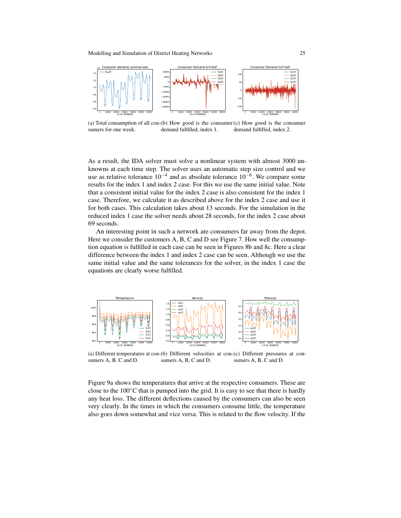<span id="page-26-0"></span>

(a) Total consumption of all con-(b) How good is the consumer (c) How good is the consumer sumers for one week. demand fulfilled, index 1. demand fulfilled, index 2.

As a result, the IDA solver must solve a nonlinear system with almost 3000 unknowns at each time step. The solver uses an automatic step size control and we use as relative tolerance  $10^{-4}$  and as absolute tolerance  $10^{-6}$ . We compare some results for the index 1 and index 2 case. For this we use the same initial value. Note that a consistent initial value for the index 2 case is also consistent for the index 1 case. Therefore, we calculate it as described above for the index 2 case and use it for both cases. This calculation takes about 13 seconds. For the simulation in the reduced index 1 case the solver needs about 28 seconds, for the index 2 case about 69 seconds.

An interesting point in such a network are consumers far away from the depot. Here we consider the customers A, B, C and D see Figure [7.](#page-25-1) How well the consumption equation is fulfilled in each case can be seen in Figures [8b](#page-26-0) and [8c.](#page-26-0) Here a clear difference between the index 1 and index 2 case can be seen. Although we use the same initial value and the same tolerances for the solver, in the index 1 case the equations are clearly worse fulfilled.

<span id="page-26-1"></span>

(a) Different temperatures at con-(b) Different velocities at con-(c) Different pressures at consumers A, B, C and D. sumers A, B, C and D. sumers A, B, C and D.

Figure [9a](#page-26-1) shows the temperatures that arrive at the respective consumers. These are close to the  $100\degree$ C that is pumped into the grid. It is easy to see that there is hardly any heat loss. The different deflections caused by the consumers can also be seen very clearly. In the times in which the consumers consume little, the temperature also goes down somewhat and vice versa. This is related to the flow velocity. If the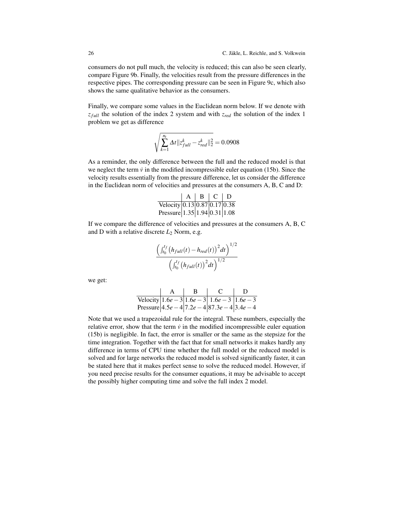consumers do not pull much, the velocity is reduced; this can also be seen clearly, compare Figure [9b.](#page-26-1) Finally, the velocities result from the pressure differences in the respective pipes. The corresponding pressure can be seen in Figure [9c,](#page-26-1) which also shows the same qualitative behavior as the consumers.

Finally, we compare some values in the Euclidean norm below. If we denote with *z*<sub>full</sub> the solution of the index 2 system and with *z*<sub>red</sub> the solution of the index 1 problem we get as difference

$$
\sqrt{\sum_{k=1}^{n_t} \Delta t \|\bar{z}_{full}^k - \bar{z}_{red}^k\|_2^2} = 0.0908
$$

As a reminder, the only difference between the full and the reduced model is that we neglect the term  $\dot{v}$  in the modified incompressible euler equation [\(15b\)](#page-11-3). Since the velocity results essentially from the pressure difference, let us consider the difference in the Euclidean norm of velocities and pressures at the consumers A, B, C and D:

|                                                      | A | B | - C + | D |
|------------------------------------------------------|---|---|-------|---|
| Velocity $0.13 \times 0.87 \times 10.17 \times 0.38$ |   |   |       |   |
| Pressure $ 1.35 1.94 0.31 1.08$                      |   |   |       |   |

If we compare the difference of velocities and pressures at the consumers A, B, C and D with a relative discrete *L*<sup>2</sup> Norm, e.g.

$$
\frac{\left(\int_{t_0}^{t_f} (h_{full}(t) - h_{red}(t))^{2} dt\right)^{1/2}}{\left(\int_{t_0}^{t_f} (h_{full}(t))^{2} dt\right)^{1/2}}
$$

we get:

$$
\begin{array}{c|c|c|c}\n & A & B & C & D \\
\hline\n\text{Velocity} & 1.6e-3 & 1.6e-3 & 1.6e-3 \\
\text{Pressure} & 4.5e-4 & 7.2e-4 & 87.3e-4 & 3.4e-4\n\end{array}
$$

Note that we used a trapezoidal rule for the integral. These numbers, especially the relative error, show that the term  $\dot{v}$  in the modified incompressible euler equation [\(15b\)](#page-11-3) is negligible. In fact, the error is smaller or the same as the stepsize for the time integration. Together with the fact that for small networks it makes hardly any difference in terms of CPU time whether the full model or the reduced model is solved and for large networks the reduced model is solved significantly faster, it can be stated here that it makes perfect sense to solve the reduced model. However, if you need precise results for the consumer equations, it may be advisable to accept the possibly higher computing time and solve the full index 2 model.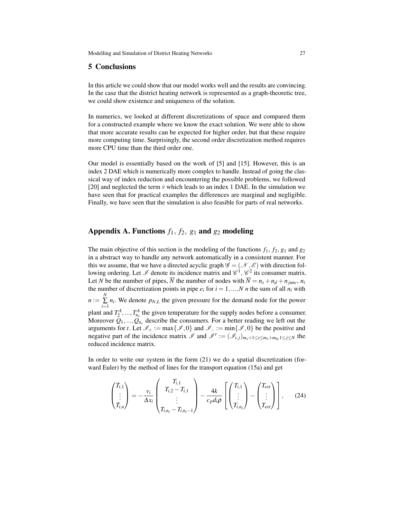#### <span id="page-28-0"></span>5 Conclusions

In this article we could show that our model works well and the results are convincing. In the case that the district heating network is represented as a graph-theoretic tree, we could show existence and uniqueness of the solution.

In numerics, we looked at different discretizations of space and compared them for a constructed example where we know the exact solution. We were able to show that more accurate results can be expected for higher order, but that these require more computing time. Surprisingly, the second order discretization method requires more CPU time than the third order one.

Our model is essentially based on the work of [\[5\]](#page-37-6) and [\[15\]](#page-37-8). However, this is an index 2 DAE which is numerically more complex to handle. Instead of going the classical way of index reduction and encountering the possible problems, we followed [\[20\]](#page-38-2) and neglected the term  $\dot{v}$  which leads to an index 1 DAE. In the simulation we have seen that for practical examples the differences are marginal and negligible. Finally, we have seen that the simulation is also feasible for parts of real networks.

### Appendix A. Functions  $f_1, f_2, g_1$  and  $g_2$  modeling

The main objective of this section is the modeling of the functions  $f_1$ ,  $f_2$ ,  $g_1$  and  $g_2$ in a abstract way to handle any network automatically in a consistent manner. For this we assume, that we have a directed acyclic graph  $\mathscr{G} = (\mathscr{N}, \mathscr{E})$  with direction following ordering. Let  $\mathscr I$  denote its incidence matrix and  $\mathscr C^1, \mathscr C^2$  its consumer matrix. Let *N* be the number of pipes,  $\overline{N}$  the number of nodes with  $\overline{N} = n_s + n_d + n_{iunc}$ ,  $n_i$ the number of discretization points in pipe  $e_i$  for  $i = 1, ..., N$  *n* the sum of all  $n_i$  with  $n := \sum_{i=1}^{N}$  $\sum_{i=1}^{\infty} n_i$ . We denote  $p_{N,L}$  the given pressure for the demand node for the power plant and  $T_2^A$ , ...,  $T_{n_s}^A$  the given temperature for the supply nodes before a consumer. Moreover  $Q_1, ..., Q_{n_c}$  describe the consumers. For a better reading we left out the arguments for *t*. Let  $\mathcal{I}_+ := \max\{\mathcal{I},0\}$  and  $\mathcal{I}_- := \min\{\mathcal{I},0\}$  be the positive and negative part of the incidence matrix  $\mathscr{I}$  and  $\mathscr{I}^r := (\mathscr{I}_{i,j})_{m_s+1 \le i \le m_s+m_0,1 \le j \le N}$  the reduced incidence matrix.

In order to write our system in the form [\(21\)](#page-15-0) we do a spatial discretization (forward Euler) by the method of lines for the transport equation [\(15a\)](#page-11-1) and get

<span id="page-28-1"></span>
$$
\begin{pmatrix} \dot{T}_{i,1} \\ \vdots \\ \dot{T}_{i,n} \end{pmatrix} = -\frac{v_i}{\Delta x_i} \begin{pmatrix} T_{i,1} \\ T_{i,2} - T_{i,1} \\ \vdots \\ T_{i,n_i} - T_{i,n_i-1} \end{pmatrix} - \frac{4k}{c_p d_i \rho} \left[ \begin{pmatrix} T_{i,1} \\ \vdots \\ T_{i,n_i} \end{pmatrix} - \begin{pmatrix} T_{ext} \\ \vdots \\ T_{ext} \end{pmatrix} \right], \qquad (24)
$$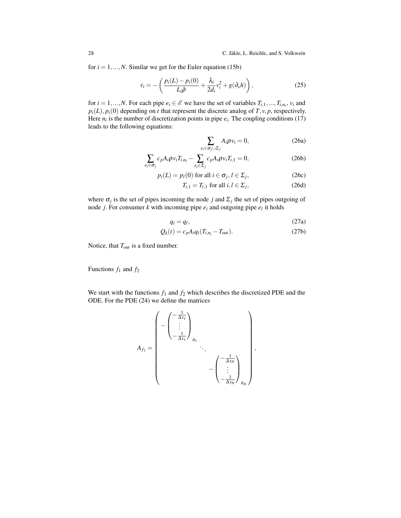for  $i = 1, ..., N$ . Similar we get for the Euler equation [\(15b\)](#page-11-3)

$$
\dot{v}_i = -\left(\frac{p_i(L) - p_i(0)}{L_i\bar{\rho}} + \frac{\lambda_i}{2d_i}v_i^2 + g(\partial_x h)\right),\tag{25}
$$

for  $i = 1, ..., N$ . For each pipe  $e_i \in \mathcal{E}$  we have the set of variables  $T_{i,1}, ..., T_{i,n_i}$ ,  $v_i$  and  $p_i(L)$ ,  $p_i(0)$  depending on *t* that represent the discrete analog of *T*, *v*, *p*, respectively. Here  $n_i$  is the number of discretization points in pipe  $e_i$ . The coupling conditions [\(17\)](#page-12-6) leads to the following equations:

<span id="page-29-4"></span><span id="page-29-3"></span><span id="page-29-2"></span><span id="page-29-1"></span><span id="page-29-0"></span>
$$
\sum_{e_i \in \sigma_j \cup \Sigma_j} A_i \rho v_i = 0, \tag{26a}
$$

$$
\sum_{e_i \in \sigma_j} c_p A_i \rho v_i T_{i, n_i} - \sum_{e_i \in \Sigma_j} c_p A_i \rho v_i T_{i, 1} = 0,
$$
\n(26b)

$$
p_i(L) = p_l(0) \text{ for all } i \in \sigma_j, l \in \Sigma_j,
$$
 (26c)

<span id="page-29-6"></span><span id="page-29-5"></span>
$$
T_{i,1} = T_{l,1} \text{ for all } i, l \in \Sigma_j,
$$
\n
$$
(26d)
$$

where  $\sigma_j$  is the set of pipes incoming the node *j* and  $\Sigma_j$  the set of pipes outgoing of node *j*. For consumer *k* with incoming pipe  $e_i$  and outgoing pipe  $e_l$  it holds

$$
q_i = q_l,\tag{27a}
$$

$$
Q_k(t) = c_p A_i q_i (T_{i,n_i} - T_{out}).
$$
\n(27b)

Notice, that *Tout* is a fixed number.

Functions *f*<sup>1</sup> and *f*<sup>2</sup>

We start with the functions  $f_1$  and  $f_2$  which describes the discretized PDE and the ODE. For the PDE [\(24\)](#page-28-1) we define the matrices

$$
A_{f_1} = \begin{pmatrix} -\frac{1}{\Delta x_1} \\ \vdots \\ -\frac{1}{\Delta x_1} \end{pmatrix}_{\tilde{n}_1} \cdot \cdot \cdot \begin{pmatrix} -\frac{1}{\Delta x_N} \\ \vdots \\ -\frac{1}{\Delta x_N} \end{pmatrix},
$$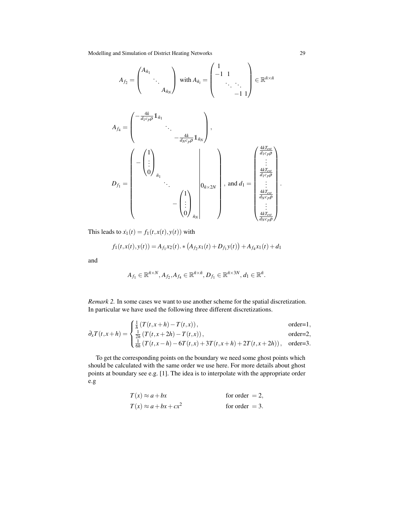$$
A_{f_2} = \begin{pmatrix} A_{\tilde{n}_1} & & \\ & \ddots & \\ & & A_{\tilde{n}_N} \end{pmatrix} \text{ with } A_{\tilde{n}_i} = \begin{pmatrix} 1 & & \\ -1 & 1 & \\ & \ddots & \ddots \\ & & -1 & 1 \end{pmatrix} \in \mathbb{R}^{\tilde{n} \times \tilde{n}}
$$

*Af*<sup>4</sup> = − 4*k d*1*cp*ρ 1*n*˜1 . . . − 4*k dNcp*ρ 1*n*˜*N* , *Df*<sup>1</sup> = − 1 . . . 0 *n*˜1 . . . 0*n*˜×2*<sup>N</sup>* − 1 . . . 0 *n*˜*N* , and *d*<sup>1</sup> = 4*kText d*1*cp*ρ . . . 4*kText d*1*cp*ρ . . . 4*kText dNcp*ρ . . . 4*kText dNcp*ρ .

This leads to  $\dot{x}_1(t) = f_1(t, x(t), y(t))$  with

$$
f_1(t, x(t), y(t)) = A_{f_1}x_2(t) \cdot \ast (A_{f_2}x_1(t) + D_{f_1}y(t)) + A_{f_4}x_1(t) + d_1
$$

and

$$
A_{f_1} \in \mathbb{R}^{\tilde{n} \times N}, A_{f_2}, A_{f_4} \in \mathbb{R}^{\tilde{n} \times \tilde{n}}, D_{f_1} \in \mathbb{R}^{\tilde{n} \times 3N}, d_1 \in \mathbb{R}^{\tilde{n}}.
$$

<span id="page-30-0"></span>*Remark 2.* In some cases we want to use another scheme for the spatial discretization. In particular we have used the following three different discretizations.

$$
\frac{1}{2}T(t, x+h) = \int \frac{\frac{1}{h}(T(t, x+h) - T(t, x))}{\frac{1}{h}(T(t, x+h) - T(t, x))},
$$
 order=1,

$$
\partial_x T(t, x + h) = \begin{cases} \frac{1}{2h} \left( T(t, x + 2h) - T(t, x) \right), & \text{order=2,} \\ \frac{1}{6h} \left( T(t, x - h) - 6T(t, x) + 3T(t, x + h) + 2T(t, x + 2h) \right), & \text{order=3.} \end{cases}
$$

To get the corresponding points on the boundary we need some ghost points which should be calculated with the same order we use here. For more details about ghost points at boundary see e.g. [\[1\]](#page-37-17). The idea is to interpolate with the appropriate order e.g

$$
T(x) \approx a + bx
$$
 for order = 2,  
\n $T(x) \approx a + bx + cx^2$  for order = 3.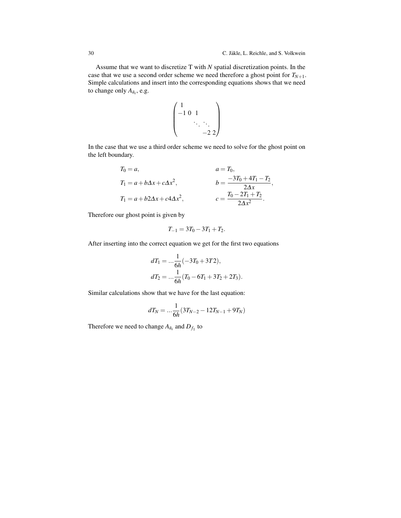Assume that we want to discretize T with *N* spatial discretization points. In the case that we use a second order scheme we need therefore a ghost point for  $T_{N+1}$ . Simple calculations and insert into the corresponding equations shows that we need to change only  $A_{\tilde{n}_i}$ , e.g.

$$
\begin{pmatrix} 1 & & & \\ -1 & 0 & 1 & & \\ & & \ddots & \ddots & \\ & & & -2 & 2 \end{pmatrix}
$$

In the case that we use a third order scheme we need to solve for the ghost point on the left boundary.

$$
T_0 = a, \t a = T_0,
$$
  
\n
$$
T_1 = a + b\Delta x + c\Delta x^2, \t b = \frac{-3T_0 + 4T_1 - T_2}{2\Delta x},
$$
  
\n
$$
T_1 = a + b2\Delta x + c4\Delta x^2, \t c = \frac{T_0 - 2T_1 + T_2}{2\Delta x^2}.
$$

Therefore our ghost point is given by

$$
T_{-1} = 3T_0 - 3T_1 + T_2.
$$

After inserting into the correct equation we get for the first two equations

$$
dT_1 = \dots \frac{1}{6h}(-3T_0 + 3T_2),
$$
  
\n
$$
dT_2 = \dots \frac{1}{6h}(T_0 - 6T_1 + 3T_2 + 2T_3).
$$

Similar calculations show that we have for the last equation:

$$
dT_N = \dots \frac{1}{6h} (3T_{N-2} - 12T_{N-1} + 9T_N)
$$

Therefore we need to change  $A_{\tilde{n}_i}$  and  $D_{f_1}$  to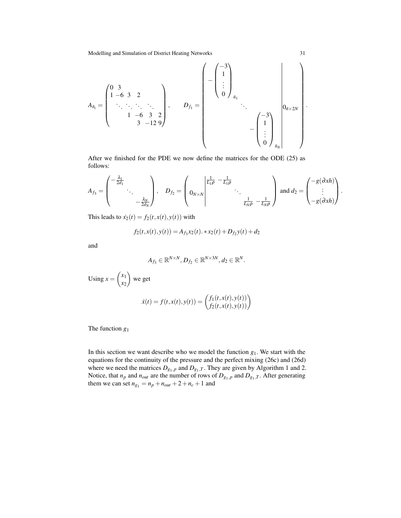$$
A_{\bar{n}_i} = \begin{pmatrix} 0 & 3 & & & & \\ 1 & -6 & 3 & 2 & & \\ & \ddots & \ddots & \ddots & \ddots & \\ & & 1 & -6 & 3 & 2 \\ & & & 3 & -12 & 9 \end{pmatrix}, \qquad D_{f_1} = \begin{pmatrix} -3 \\ \vdots \\ 0 \end{pmatrix}_{\bar{n}_1} \cdot \frac{1}{\ddots} \cdot \frac{1}{\ddots} \cdot \frac{1}{\ddots} \cdot \frac{1}{\ddots} \cdot \frac{1}{\ddots} \cdot \frac{1}{\ddots} \cdot \frac{1}{\ddots} \cdot \frac{1}{\ddots} \cdot \frac{1}{\ddots} \cdot \frac{1}{\ddots} \cdot \frac{1}{\ddots} \cdot \frac{1}{\ddots} \cdot \frac{1}{\ddots} \cdot \frac{1}{\ddots} \cdot \frac{1}{\ddots} \cdot \frac{1}{\ddots} \cdot \frac{1}{\ddots} \cdot \frac{1}{\ddots} \cdot \frac{1}{\ddots} \cdot \frac{1}{\ddots} \cdot \frac{1}{\ddots} \cdot \frac{1}{\ddots} \cdot \frac{1}{\ddots} \cdot \frac{1}{\ddots} \cdot \frac{1}{\ddots} \cdot \frac{1}{\ddots} \cdot \frac{1}{\ddots} \cdot \frac{1}{\ddots} \cdot \frac{1}{\ddots} \cdot \frac{1}{\ddots} \cdot \frac{1}{\ddots} \cdot \frac{1}{\ddots} \cdot \frac{1}{\ddots} \cdot \frac{1}{\ddots} \cdot \frac{1}{\ddots} \cdot \frac{1}{\ddots} \cdot \frac{1}{\ddots} \cdot \frac{1}{\ddots} \cdot \frac{1}{\ddots} \cdot \frac{1}{\ddots} \cdot \frac{1}{\ddots} \cdot \frac{1}{\ddots} \cdot \frac{1}{\ddots} \cdot \frac{1}{\ddots} \cdot \frac{1}{\ddots} \cdot \frac{1}{\ddots} \cdot \frac{1}{\ddots} \cdot \frac{1}{\ddots} \cdot \frac{1}{\ddots} \cdot \frac{1}{\ddots} \cdot \frac{1}{\ddots} \cdot \frac{1}{\ddots} \cdot \frac{1}{\ddots} \cdot \frac{1}{\ddots} \cdot \frac{1}{\ddots} \cdot \frac{1}{\ddots} \cdot \frac{1}{\ddots} \cdot \frac{1
$$

After we finished for the PDE we now define the matrices for the ODE [\(25\)](#page-29-0) as follows:

$$
A_{f_3} = \begin{pmatrix} -\frac{\lambda_1}{2d_1} & & \\ & \ddots & \\ & & -\frac{\lambda_N}{2d_N} \end{pmatrix}, \quad D_{f_2} = \begin{pmatrix} \frac{1}{L_1 \rho} & -\frac{1}{L_1 \rho} & \\ 0_{N \times N} & & \ddots \\ & & \frac{1}{L_N \rho} & -\frac{1}{L_N \rho} \end{pmatrix} \text{ and } d_2 = \begin{pmatrix} -g(\partial x h) \\ \vdots \\ -g(\partial x h) \end{pmatrix}.
$$

This leads to  $\dot{x}_2(t) = f_2(t, x(t), y(t))$  with

$$
f_2(t, x(t), y(t)) = A_{f_3}x_2(t) \cdot * x_2(t) + D_{f_2}y(t) + d_2
$$

and

$$
A_{f_3} \in \mathbb{R}^{N \times N}, D_{f_2} \in \mathbb{R}^{N \times 3N}, d_2 \in \mathbb{R}^N.
$$

Using 
$$
x = \begin{pmatrix} x_1 \\ x_2 \end{pmatrix}
$$
 we get  
\n
$$
\dot{x}(t) = f(t, x(t), y(t)) = \begin{pmatrix} f_1(t, x(t), y(t)) \\ f_2(t, x(t), y(t)) \end{pmatrix}
$$

The function *g*<sup>1</sup>

In this section we want describe who we model the function  $g_1$ . We start with the equations for the continuity of the pressure and the perfect mixing [\(26c\)](#page-29-1) and [\(26d\)](#page-29-2) where we need the matrices  $D_{g_1,p}$  and  $D_{g_1,T}$ . They are given by Algorithm [1](#page-33-0) and [2.](#page-33-1) Notice, that  $n_p$  and  $n_{out}$  are the number of rows of  $D_{g_1,p}$  and  $D_{g_1,T}$ . After generating them we can set  $n_{g_1} = n_p + n_{out} + 2 + n_c + 1$  and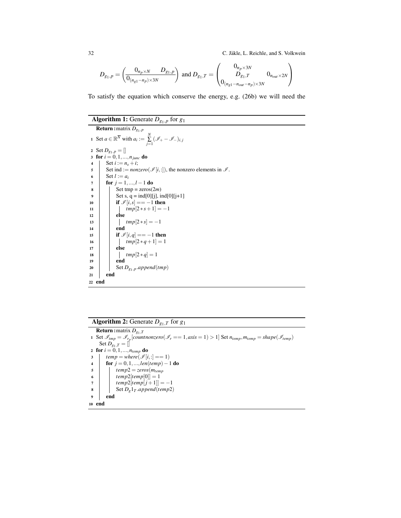32 C. Jäkle, L. Reichle, and S. Volkwein

$$
D_{g_1,p} = \left(\frac{0_{n_p \times N} - D_{g_1,p}}{0_{(n_{g_1} - n_p) \times 3N}}\right) \text{ and } D_{g_1,T} = \left(\frac{0_{n_p \times 3N}}{D_{g_1,T}} - 0_{n_{out} \times 2N}\right)
$$

To satisfy the equation which conserve the energy, e.g. [\(26b\)](#page-29-3) we will need the

## Algorithm 1: Generate *Dg*1,*<sup>p</sup>* for *g*<sup>1</sup>

```
Return :matrix Dg1,p
 1 Set a \in \mathbb{R}^{\overline{N}} with a_i := \sum_{j=1}^N (\mathcal{I}_+ - \mathcal{I}_-)_{i,j}2 Set D_{g_1,p} = []3 for i = 0, 1, ..., n_{junc} do
 4 | Set i := n_s + i;
 \mathsf{s} Set ind := nonzero(\mathcal{I}[i,:]), the nonzero elements in \mathcal{I}.
 6 Set l := a_i<br>
for j = 1,
         for j = 1, ..., l - 1 do
 \begin{array}{c|c} \hline \mathbf{8} & \mathbf{8} \\ \hline \end{array} Set tmp = zeros(2m)
 9 | Set s, q = ind[0][j], ind[0][j+1]
10 if \mathcal{I}[i,s] = -1 then<br>11 if \mathcal{I}[i,s] = -1 then
                \left| \quad \text{tmp}[2 * s + 1] = -1 \right|12 else
13 \vert tmp[2 * s] = -1
14 end
15 if \mathcal{I}[i,q] = -1 then
16 \vert \vert \vert tmp[2*q+1] = 117 else
18 \vert \vert tmp[2 * q] = 1
19 end
20 | Set D_{g_1,p}.append(tmp)
21 end
22 end
```
## <span id="page-33-0"></span>**Algorithm 2:** Generate  $D_{g_1,T}$  for  $g_1$

<span id="page-33-1"></span>Return :matrix *Dg*1,*<sup>T</sup>* 1 Set  $\mathscr{I}_{tmp} = \mathscr{I}_{r_p}[counter] \mathscr{I}_{temp} = \mathscr{I}_{r_p}[counter] \mathscr{I}_{temp} = \mathscr{I}_{temp}$ Set  $D_{g_1,T} = []$ 2 for  $i = 0, 1, ..., n_{temp}$  do 3  $temp = where(\mathcal{I}[i,:]=-1)$ <sup>4</sup> for *j* = 0,1,...,*len*(*temp*)−1 do  $\begin{array}{c|c} 5 & \text{temp2} = zeros(m_{temp}) \\ 6 & \text{temp2}[\text{temp}[0]] = 1 \end{array}$  $temp2[temp[0]] = 1$ 7  $\vert$   $\vert$   $\vert$   $\vert temp2[temp[j+1]] = -1$  $\begin{array}{|c|c|c|c|}\n\hline\n\text{8} & \text{Set } D_g1_T.append(temp2) \\
\hline\n\end{array}$ <sup>9</sup> end <sup>10</sup> end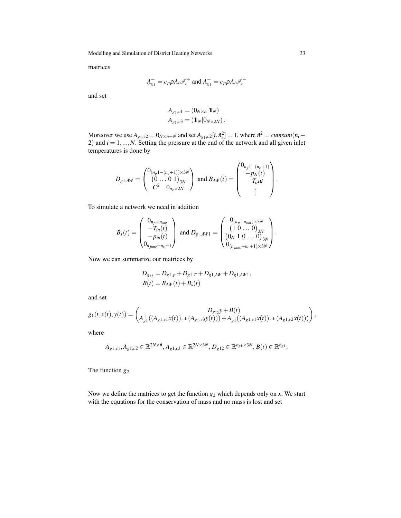matrices

$$
A_{g_1}^+ = c_p \rho A_i \mathcal{I}_r^+ \text{ and } A_{g_1}^- = c_p \rho A_i \mathcal{I}_r^-
$$

and set

$$
A_{g_1,c1} = (0_{N \times \tilde{n}} | 1_N)
$$
  
\n
$$
A_{g_1,c3} = (1_N | 0_{N \times 2N}).
$$

Moreover we use  $A_{g_1,c2} = 0_{N \times \tilde{n} + N}$  and set  $A_{g_1,c2}[i, \tilde{n}_i^2] = 1$ , where  $\tilde{n}^2 = \textit{cumsum}(n_i - \tilde{n}_i^2)$ 2) and *i* = 1,...,*N*. Setting the pressure at the end of the network and all given inlet temperatures is done by

$$
D_{g1,AW} = \begin{pmatrix} 0_{(n_g 1 - (n_c + 1)) \times 3N} \\ (0 \dots 0 1)_{3N} \\ C^2 & 0_{n_c \times 2N} \end{pmatrix} \text{ and } B_{AW}(t) = \begin{pmatrix} 0_{n_g 1 - (n_c + 1)} \\ -p_N(t) \\ -T_{out} \\ \vdots \end{pmatrix}.
$$

To simulate a network we need in addition

$$
B_{s}(t) = \begin{pmatrix} 0_{n_p+n_{out}} \\ -T_{in}(t) \\ -p_{in}(t) \\ 0_{n_{junc}+n_c+1} \end{pmatrix} \text{ and } D_{g_1,AW1} = \begin{pmatrix} 0_{(n_p+n_{out})\times 3N} \\ (1 & 0 \dots 0)_{3N} \\ (0_N & 1 & 0 \dots 0)_{3N} \\ 0_{(n_{junc}+n_c+1)\times 3N} \end{pmatrix}.
$$

Now we can summarize our matrices by

$$
D_{g_{12}} = D_{g1,p} + D_{g1,T} + D_{g1,AW} + D_{g1,AW1},
$$
  

$$
B(t) = B_{AW}(t) + B_s(t)
$$

and set

$$
g_1(t,x(t),y(t)) = \begin{pmatrix} D_{g_{12}}y + B(t) \ A_{g_1}^+((A_{g_1,c1}x(t)),\ast (A_{g_1,c3}y(t))) + A_{g_1}^-((A_{g_1,c1}x(t)),\ast (A_{g_1,c2}x(t))) \end{pmatrix},
$$

where

$$
A_{g1,c1}, A_{g1,c2} \in \mathbb{R}^{2N \times \tilde{n}}, A_{g1,c3} \in \mathbb{R}^{2N \times 3N}, D_{g12} \in \mathbb{R}^{n_{g1} \times 3N}, B(t) \in \mathbb{R}^{n_{g1}}.
$$

The function *g*<sup>2</sup>

Now we define the matrices to get the function  $g_2$  which depends only on  $x$ . We start with the equations for the conservation of mass and no mass is lost and set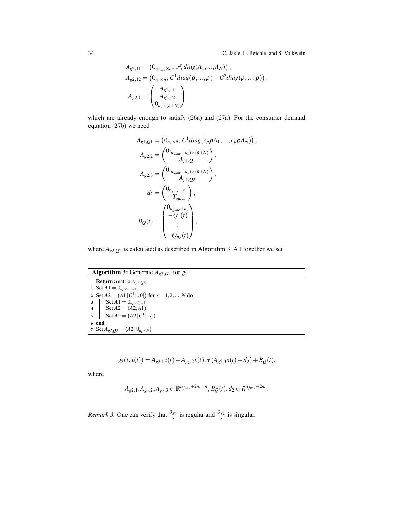$$
A_{g2,11} = (0_{n_{junc} \times \tilde{n}}, \mathscr{I}_r diag(A_1, ..., A_N)),
$$
  
\n
$$
A_{g2,12} = (0_{n_c \times \tilde{n}}, C^1 diag(\rho, ..., \rho) - C^2 diag(\rho, ..., \rho)),
$$
  
\n
$$
A_{g2,1} = \begin{pmatrix} A_{g2,11} \\ A_{g2,12} \\ 0_{n_c \times (\tilde{n}+N)} \end{pmatrix}
$$

which are already enough to satisfy [\(26a\)](#page-29-4) and [\(27a\)](#page-29-5). For the consumer demand equation [\(27b\)](#page-29-6) we need

$$
A_{g1,Q1} = (0_{n_c \times \tilde{n}}, C^1 diag(c_p \rho A_1, ..., c_p \rho A_N)),
$$
  
\n
$$
A_{g2,2} = \begin{pmatrix} 0_{(n_{junc}+n_c)\times(\tilde{n}+N)} \\ A_{g1,Q1} \end{pmatrix},
$$
  
\n
$$
A_{g2,3} = \begin{pmatrix} 0_{(n_{junc}+n_c)\times(\tilde{n}+N)} \\ A_{g1,Q2} \end{pmatrix},
$$
  
\n
$$
d_2 = \begin{pmatrix} 0_{n_{junc}+n_c} \\ -T_{out_{nc}} \end{pmatrix},
$$
  
\n
$$
B_Q(t) = \begin{pmatrix} 0_{n_{junc}+n_c} \\ -Q_1(t) \\ \vdots \\ -Q_{n_c}(t) \end{pmatrix},
$$

where  $A_{g2,Q2}$  is calculated as described in Algorithm [3.](#page-35-0) All together we set

Algorithm 3: Generate *Ag*2,*Q*<sup>2</sup> for *g*<sup>2</sup> Return :matrix *Ag*2,*Q*<sup>2</sup> 1 Set  $A1 = 0_{n_c \times \tilde{n}_1 - 1}$ 2 Set  $A2 = (A1 | C^1[:,0])$  for  $i = 1,2,...,N$  do  $3 \quad \text{Set } A1 = 0_{n_c \times \tilde{n}_i - 1}$  $4 \mid \text{Set } A2 = (A2, A1)$  $5 \quad \text{Set } A2 = (A2 | C^1[:, i])$ <sup>6</sup> end 7 Set  $A_{g2,Q2} = (A2 \mid 0_{n_c \times N})$ 

<span id="page-35-0"></span>
$$
g_2(t, x(t)) = A_{g2,1}x(t) + A_{g2,2}x(t) \cdot *(A_{g2,3}x(t) + d_2) + B_Q(t),
$$

where

$$
A_{g2,1}, A_{g_2,2}, A_{g_2,3} \in \mathbb{R}^{n_{junc}+2n_c\times \tilde{n}}, B_{Q}(t), d_2 \in R^{n_{junc}+2n_c}.
$$

*Remark 3.* One can verify that  $\frac{\partial g_1}{y}$  is regular and  $\frac{\partial g_2}{y}$  is singular.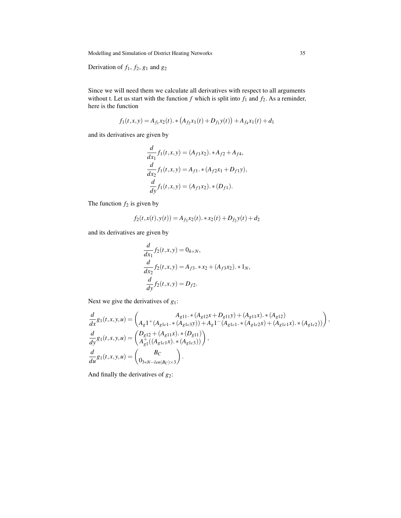Derivation of  $f_1$ ,  $f_2$ ,  $g_1$  and  $g_2$ 

Since we will need them we calculate all derivatives with respect to all arguments without t. Let us start with the function  $f$  which is split into  $f_1$  and  $f_2$ . As a reminder, here is the function

$$
f_1(t,x,y) = A_{f_1}x_2(t) \cdot \ast (A_{f_2}x_1(t) + D_{f_1}y(t)) + A_{f_4}x_1(t) + d_1
$$

and its derivatives are given by

$$
\frac{d}{dx_1}f_1(t,x,y) = (A_{f1}x_2) \cdot * A_{f2} + A_{f4},
$$
  

$$
\frac{d}{dx_2}f_1(t,x,y) = A_{f1} \cdot * (A_{f2}x_1 + D_{f1}y),
$$
  

$$
\frac{d}{dy}f_1(t,x,y) = (A_{f1}x_2) \cdot * (D_{f1}).
$$

The function  $f_2$  is given by

$$
f_2(t, x(t), y(t)) = A_{f_3}x_2(t) \cdot * x_2(t) + D_{f_2}y(t) + d_2
$$

and its derivatives are given by

$$
\frac{d}{dx_1} f_2(t, x, y) = 0_{\tilde{n} \times N},
$$
  
\n
$$
\frac{d}{dx_2} f_2(t, x, y) = A_{f3} \cdot * x_2 + (A_{f3} x_2) \cdot * 1_N,
$$
  
\n
$$
\frac{d}{dy} f_2(t, x, y) = D_{f2}.
$$

Next we give the derivatives of *g*1:

$$
\frac{d}{dx}g_1(t,x,y,u) = \begin{pmatrix} A_{g11} \cdot * (A_{g12}x + D_{g11}y) + (A_{g11}x) \cdot * (A_{g12}) \\ A_g1 + (A_{g1c1} \cdot * (A_{g1c3}y)) + A_g1 - (A_{g1c1} \cdot * (A_{g1c2}x) + (A_{g1c1}x) \cdot * (A_{g1c2})) \end{pmatrix},
$$
\n
$$
\frac{d}{dy}g_1(t,x,y,u) = \begin{pmatrix} D_{g12} + (A_{g11}x) \cdot * (D_{g11}) \\ A_{g1}^+( (A_{g1c1}x) \cdot * (A_{g1c3})) \end{pmatrix},
$$
\n
$$
\frac{d}{du}g_1(t,x,y,u) = \begin{pmatrix} B_C \\ 0_{3*N-len(B_C) \times 3} \end{pmatrix}.
$$

And finally the derivatives of *g*2: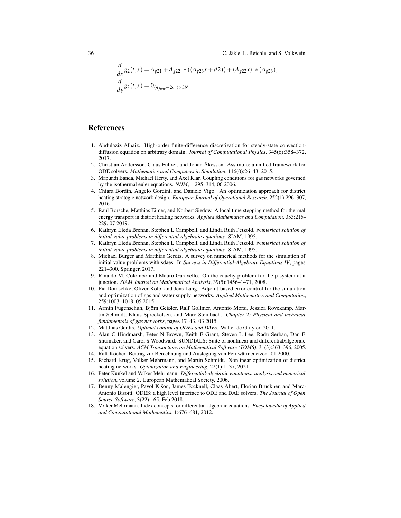$$
\frac{d}{dx}g_2(t,x) = A_{g21} + A_{g22} \cdot * ((A_{g23}x + d2)) + (A_{g22}x) \cdot * (A_{g23}),
$$
  

$$
\frac{d}{dy}g_2(t,x) = 0_{(n_{junc}+2n_c)\times 3N}.
$$

#### **References**

- <span id="page-37-17"></span>1. Abdulaziz Albaiz. High-order finite-difference discretization for steady-state convectiondiffusion equation on arbitrary domain. *Journal of Computational Physics*, 345(6):358–372, 2017.
- <span id="page-37-16"></span>2. Christian Andersson, Claus Führer, and Johan Åkesson. Assimulo: a unified framework for ODE solvers. *Mathematics and Computers in Simulation*, 116(0):26–43, 2015.
- <span id="page-37-10"></span>3. Mapundi Banda, Michael Herty, and Axel Klar. Coupling conditions for gas networks governed by the isothermal euler equations. *NHM*, 1:295–314, 06 2006.
- <span id="page-37-13"></span>4. Chiara Bordin, Angelo Gordini, and Daniele Vigo. An optimization approach for district heating strategic network design. *European Journal of Operational Research*, 252(1):296–307, 2016.
- <span id="page-37-6"></span>5. Raul Borsche, Matthias Eimer, and Norbert Siedow. A local time stepping method for thermal energy transport in district heating networks. *Applied Mathematics and Computation*, 353:215– 229, 07 2019.
- <span id="page-37-0"></span>6. Kathryn Eleda Brenan, Stephen L Campbell, and Linda Ruth Petzold. *Numerical solution of initial-value problems in differential-algebraic equations*. SIAM, 1995.
- <span id="page-37-4"></span>7. Kathryn Eleda Brenan, Stephen L Campbell, and Linda Ruth Petzold. *Numerical solution of initial-value problems in differential-algebraic equations*. SIAM, 1995.
- <span id="page-37-5"></span>8. Michael Burger and Matthias Gerdts. A survey on numerical methods for the simulation of initial value problems with sdaes. In *Surveys in Differential-Algebraic Equations IV*, pages 221–300. Springer, 2017.
- <span id="page-37-11"></span>9. Rinaldo M. Colombo and Mauro Garavello. On the cauchy problem for the p-system at a junction. *SIAM Journal on Mathematical Analysis*, 39(5):1456–1471, 2008.
- <span id="page-37-12"></span>10. Pia Domschke, Oliver Kolb, and Jens Lang. Adjoint-based error control for the simulation and optimization of gas and water supply networks. *Applied Mathematics and Computation*, 259:1003–1018, 05 2015.
- <span id="page-37-9"></span>11. Armin Fügenschuh, Björn Geißler, Ralf Gollmer, Antonio Morsi, Jessica Rövekamp, Martin Schmidt, Klaus Spreckelsen, and Marc Steinbach. *Chapter 2: Physical and technical fundamentals of gas networks*, pages 17–43. 03 2015.
- <span id="page-37-1"></span>12. Matthias Gerdts. *Optimal control of ODEs and DAEs*. Walter de Gruyter, 2011.
- <span id="page-37-14"></span>13. Alan C Hindmarsh, Peter N Brown, Keith E Grant, Steven L Lee, Radu Serban, Dan E Shumaker, and Carol S Woodward. SUNDIALS: Suite of nonlinear and differential/algebraic equation solvers. *ACM Transactions on Mathematical Software (TOMS)*, 31(3):363–396, 2005.
- <span id="page-37-7"></span>14. Ralf Köcher. Beitrag zur Berechnung und Auslegung von Fernwärmenetzen. 01 2000.
- <span id="page-37-8"></span>15. Richard Krug, Volker Mehrmann, and Martin Schmidt. Nonlinear optimization of district heating networks. *Optimization and Engineering*, 22(1):1–37, 2021.
- <span id="page-37-2"></span>16. Peter Kunkel and Volker Mehrmann. *Differential-algebraic equations: analysis and numerical solution*, volume 2. European Mathematical Society, 2006.
- <span id="page-37-15"></span>17. Benny Malengier, Pavol Kišon, James Tocknell, Claas Abert, Florian Bruckner, and Marc-Antonio Bisotti. ODES: a high level interface to ODE and DAE solvers. *The Journal of Open Source Software*, 3(22):165, Feb 2018.
- <span id="page-37-3"></span>18. Volker Mehrmann. Index concepts for differential-algebraic equations. *Encyclopedia of Applied and Computational Mathematics*, 1:676–681, 2012.